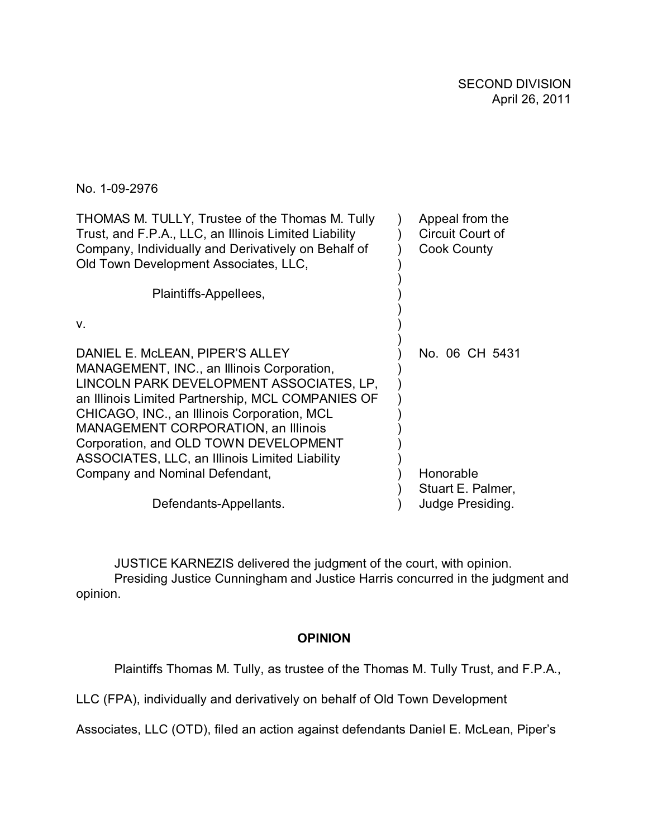No. 1-09-2976

| THOMAS M. TULLY, Trustee of the Thomas M. Tully<br>Trust, and F.P.A., LLC, an Illinois Limited Liability<br>Company, Individually and Derivatively on Behalf of<br>Old Town Development Associates, LLC,                                                                                                                                                               | Appeal from the<br>Circuit Court of<br><b>Cook County</b> |
|------------------------------------------------------------------------------------------------------------------------------------------------------------------------------------------------------------------------------------------------------------------------------------------------------------------------------------------------------------------------|-----------------------------------------------------------|
| Plaintiffs-Appellees,                                                                                                                                                                                                                                                                                                                                                  |                                                           |
| $V_{\cdot}$                                                                                                                                                                                                                                                                                                                                                            |                                                           |
| DANIEL E. McLEAN, PIPER'S ALLEY<br>MANAGEMENT, INC., an Illinois Corporation,<br>LINCOLN PARK DEVELOPMENT ASSOCIATES, LP,<br>an Illinois Limited Partnership, MCL COMPANIES OF<br>CHICAGO, INC., an Illinois Corporation, MCL<br><b>MANAGEMENT CORPORATION, an Illinois</b><br>Corporation, and OLD TOWN DEVELOPMENT<br>ASSOCIATES, LLC, an Illinois Limited Liability | No. 06 CH 5431                                            |
| Company and Nominal Defendant,                                                                                                                                                                                                                                                                                                                                         | Honorable                                                 |
| Defendants-Appellants.                                                                                                                                                                                                                                                                                                                                                 | Stuart E. Palmer,<br>Judge Presiding.                     |

JUSTICE KARNEZIS delivered the judgment of the court, with opinion. Presiding Justice Cunningham and Justice Harris concurred in the judgment and opinion.

# **OPINION**

Plaintiffs Thomas M. Tully, as trustee of the Thomas M. Tully Trust, and F.P.A.,

LLC (FPA), individually and derivatively on behalf of Old Town Development

Associates, LLC (OTD), filed an action against defendants Daniel E. McLean, Piper's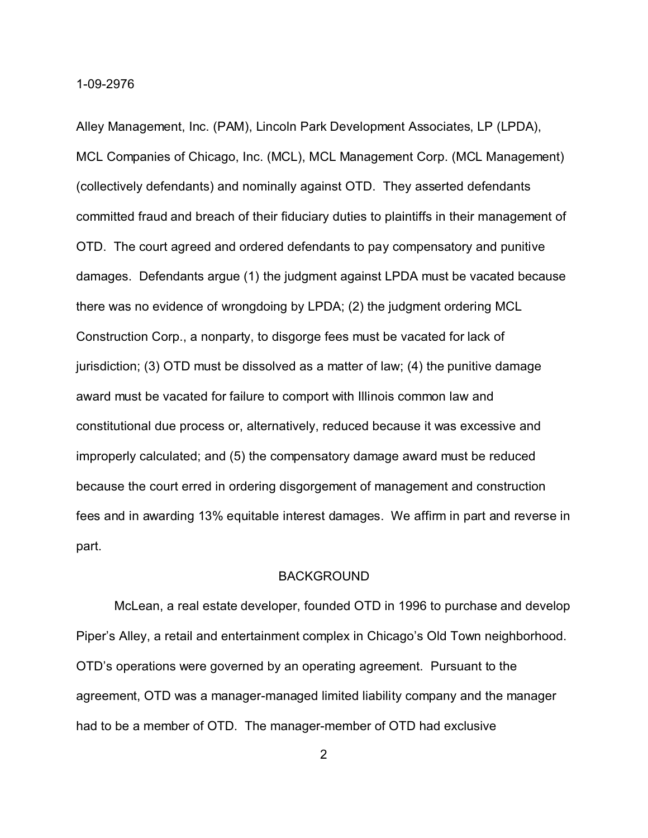Alley Management, Inc. (PAM), Lincoln Park Development Associates, LP (LPDA), MCL Companies of Chicago, Inc. (MCL), MCL Management Corp. (MCL Management) (collectively defendants) and nominally against OTD. They asserted defendants committed fraud and breach of their fiduciary duties to plaintiffs in their management of OTD. The court agreed and ordered defendants to pay compensatory and punitive damages. Defendants argue (1) the judgment against LPDA must be vacated because there was no evidence of wrongdoing by LPDA; (2) the judgment ordering MCL Construction Corp., a nonparty, to disgorge fees must be vacated for lack of jurisdiction; (3) OTD must be dissolved as a matter of law; (4) the punitive damage award must be vacated for failure to comport with Illinois common law and constitutional due process or, alternatively, reduced because it was excessive and improperly calculated; and (5) the compensatory damage award must be reduced because the court erred in ordering disgorgement of management and construction fees and in awarding 13% equitable interest damages. We affirm in part and reverse in part.

### BACKGROUND

McLean, a real estate developer, founded OTD in 1996 to purchase and develop Piper's Alley, a retail and entertainment complex in Chicago's Old Town neighborhood. OTD's operations were governed by an operating agreement. Pursuant to the agreement, OTD was a manager-managed limited liability company and the manager had to be a member of OTD. The manager-member of OTD had exclusive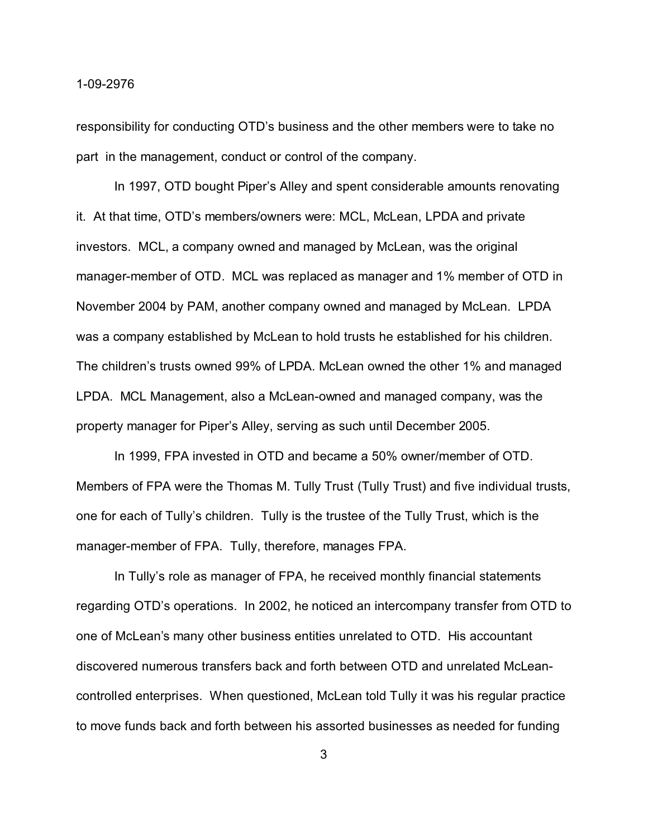responsibility for conducting OTD's business and the other members were to take no part in the management, conduct or control of the company.

In 1997, OTD bought Piper's Alley and spent considerable amounts renovating it. At that time, OTD's members/owners were: MCL, McLean, LPDA and private investors. MCL, a company owned and managed by McLean, was the original manager-member of OTD. MCL was replaced as manager and 1% member of OTD in November 2004 by PAM, another company owned and managed by McLean. LPDA was a company established by McLean to hold trusts he established for his children. The children's trusts owned 99% of LPDA. McLean owned the other 1% and managed LPDA. MCL Management, also a McLean-owned and managed company, was the property manager for Piper's Alley, serving as such until December 2005.

In 1999, FPA invested in OTD and became a 50% owner/member of OTD. Members of FPA were the Thomas M. Tully Trust (Tully Trust) and five individual trusts, one for each of Tully's children. Tully is the trustee of the Tully Trust, which is the manager-member of FPA. Tully, therefore, manages FPA.

In Tully's role as manager of FPA, he received monthly financial statements regarding OTD's operations. In 2002, he noticed an intercompany transfer from OTD to one of McLean's many other business entities unrelated to OTD. His accountant discovered numerous transfers back and forth between OTD and unrelated McLeancontrolled enterprises. When questioned, McLean told Tully it was his regular practice to move funds back and forth between his assorted businesses as needed for funding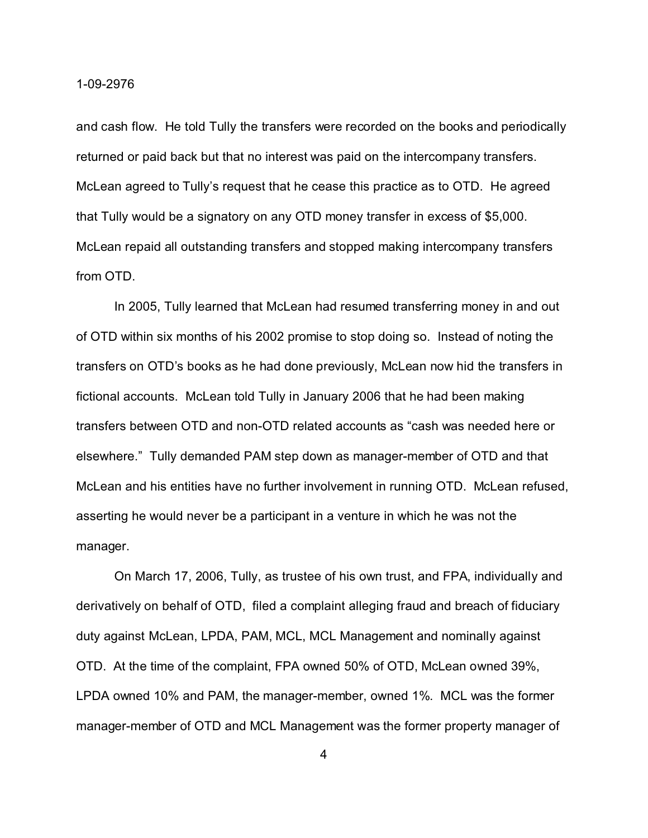and cash flow. He told Tully the transfers were recorded on the books and periodically returned or paid back but that no interest was paid on the intercompany transfers. McLean agreed to Tully's request that he cease this practice as to OTD. He agreed that Tully would be a signatory on any OTD money transfer in excess of \$5,000. McLean repaid all outstanding transfers and stopped making intercompany transfers from OTD.

In 2005, Tully learned that McLean had resumed transferring money in and out of OTD within six months of his 2002 promise to stop doing so. Instead of noting the transfers on OTD's books as he had done previously, McLean now hid the transfers in fictional accounts. McLean told Tully in January 2006 that he had been making transfers between OTD and non-OTD related accounts as "cash was needed here or elsewhere." Tully demanded PAM step down as manager-member of OTD and that McLean and his entities have no further involvement in running OTD. McLean refused, asserting he would never be a participant in a venture in which he was not the manager.

On March 17, 2006, Tully, as trustee of his own trust, and FPA, individually and derivatively on behalf of OTD, filed a complaint alleging fraud and breach of fiduciary duty against McLean, LPDA, PAM, MCL, MCL Management and nominally against OTD. At the time of the complaint, FPA owned 50% of OTD, McLean owned 39%, LPDA owned 10% and PAM, the manager-member, owned 1%. MCL was the former manager-member of OTD and MCL Management was the former property manager of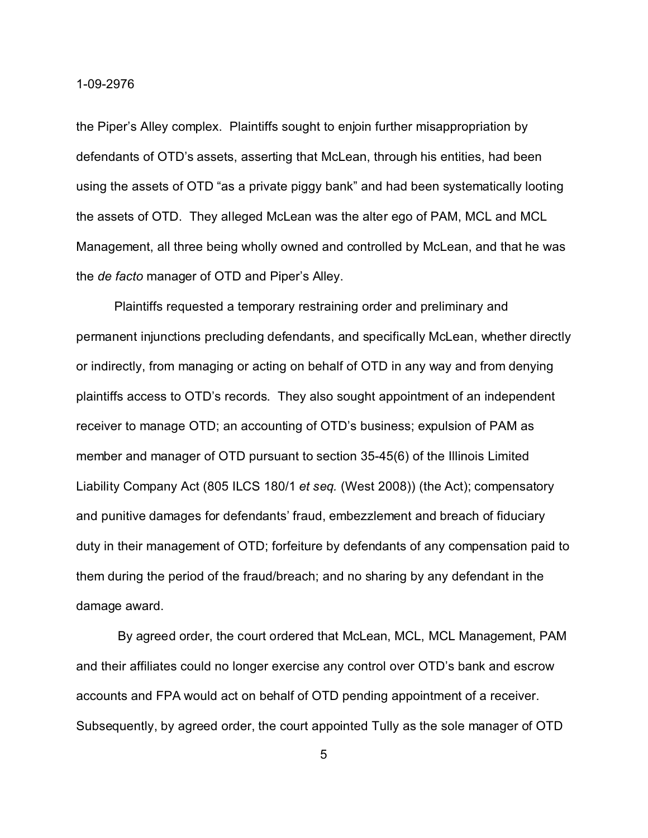the Piper's Alley complex. Plaintiffs sought to enjoin further misappropriation by defendants of OTD's assets, asserting that McLean, through his entities, had been using the assets of OTD "as a private piggy bank" and had been systematically looting the assets of OTD. They alleged McLean was the alter ego of PAM, MCL and MCL Management, all three being wholly owned and controlled by McLean, and that he was the *de facto* manager of OTD and Piper's Alley.

Plaintiffs requested a temporary restraining order and preliminary and permanent injunctions precluding defendants, and specifically McLean, whether directly or indirectly, from managing or acting on behalf of OTD in any way and from denying plaintiffs access to OTD's records. They also sought appointment of an independent receiver to manage OTD; an accounting of OTD's business; expulsion of PAM as member and manager of OTD pursuant to section 35-45(6) of the Illinois Limited Liability Company Act (805 ILCS 180/1 *et seq.* (West 2008)) (the Act); compensatory and punitive damages for defendants' fraud, embezzlement and breach of fiduciary duty in their management of OTD; forfeiture by defendants of any compensation paid to them during the period of the fraud/breach; and no sharing by any defendant in the damage award.

 By agreed order, the court ordered that McLean, MCL, MCL Management, PAM and their affiliates could no longer exercise any control over OTD's bank and escrow accounts and FPA would act on behalf of OTD pending appointment of a receiver. Subsequently, by agreed order, the court appointed Tully as the sole manager of OTD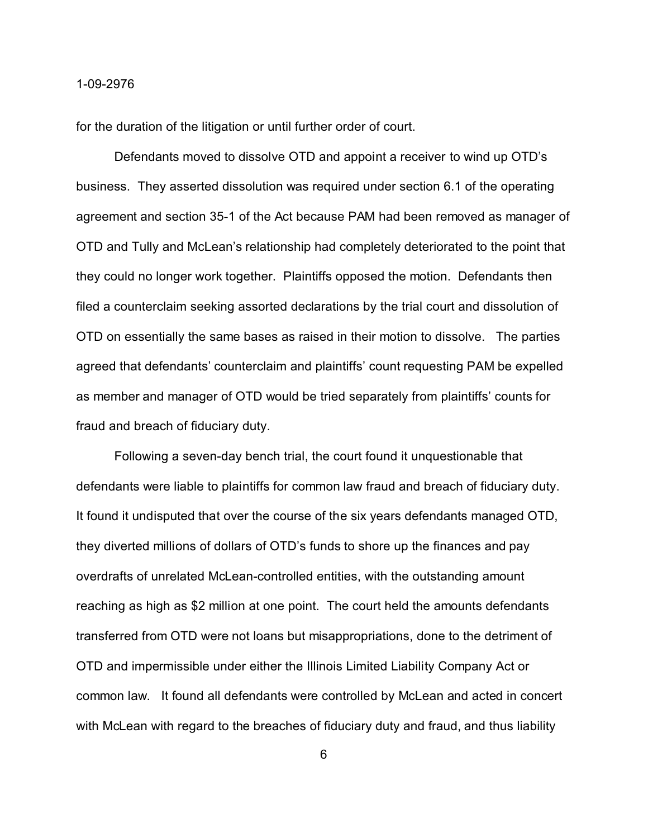for the duration of the litigation or until further order of court.

Defendants moved to dissolve OTD and appoint a receiver to wind up OTD's business. They asserted dissolution was required under section 6.1 of the operating agreement and section 35-1 of the Act because PAM had been removed as manager of OTD and Tully and McLean's relationship had completely deteriorated to the point that they could no longer work together. Plaintiffs opposed the motion. Defendants then filed a counterclaim seeking assorted declarations by the trial court and dissolution of OTD on essentially the same bases as raised in their motion to dissolve. The parties agreed that defendants' counterclaim and plaintiffs' count requesting PAM be expelled as member and manager of OTD would be tried separately from plaintiffs' counts for fraud and breach of fiduciary duty.

Following a seven-day bench trial, the court found it unquestionable that defendants were liable to plaintiffs for common law fraud and breach of fiduciary duty. It found it undisputed that over the course of the six years defendants managed OTD, they diverted millions of dollars of OTD's funds to shore up the finances and pay overdrafts of unrelated McLean-controlled entities, with the outstanding amount reaching as high as \$2 million at one point. The court held the amounts defendants transferred from OTD were not loans but misappropriations, done to the detriment of OTD and impermissible under either the Illinois Limited Liability Company Act or common law. It found all defendants were controlled by McLean and acted in concert with McLean with regard to the breaches of fiduciary duty and fraud, and thus liability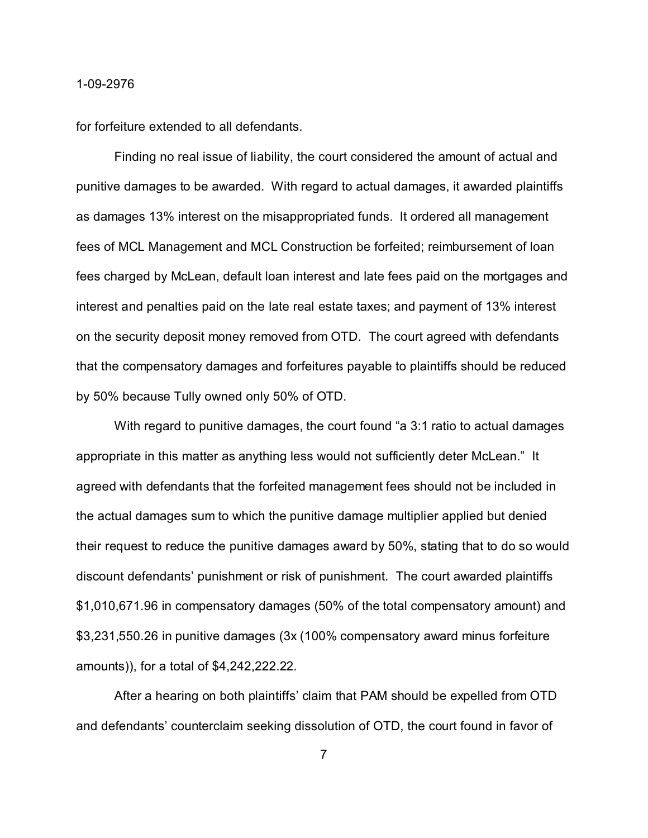for forfeiture extended to all defendants.

Finding no real issue of liability, the court considered the amount of actual and punitive damages to be awarded. With regard to actual damages, it awarded plaintiffs as damages 13% interest on the misappropriated funds. It ordered all management fees of MCL Management and MCL Construction be forfeited; reimbursement of loan fees charged by McLean, default loan interest and late fees paid on the mortgages and interest and penalties paid on the late real estate taxes; and payment of 13% interest on the security deposit money removed from OTD. The court agreed with defendants that the compensatory damages and forfeitures payable to plaintiffs should be reduced by 50% because Tully owned only 50% of OTD.

With regard to punitive damages, the court found "a 3:1 ratio to actual damages appropriate in this matter as anything less would not sufficiently deter McLean." It agreed with defendants that the forfeited management fees should not be included in the actual damages sum to which the punitive damage multiplier applied but denied their request to reduce the punitive damages award by 50%, stating that to do so would discount defendants' punishment or risk of punishment. The court awarded plaintiffs \$1,010,671.96 in compensatory damages (50% of the total compensatory amount) and \$3,231,550.26 in punitive damages (3x (100% compensatory award minus forfeiture amounts)), for a total of \$4,242,222.22.

After a hearing on both plaintiffs' claim that PAM should be expelled from OTD and defendants' counterclaim seeking dissolution of OTD, the court found in favor of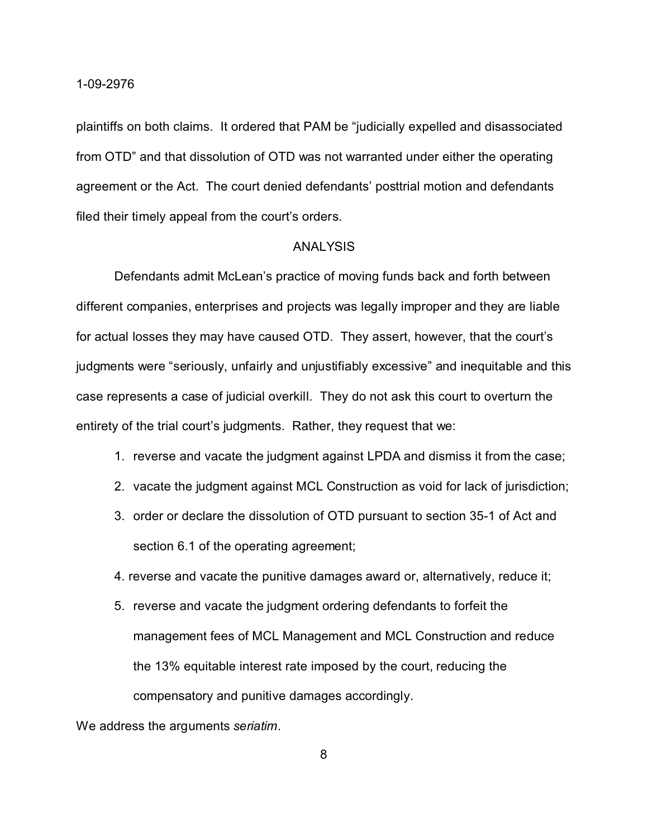plaintiffs on both claims. It ordered that PAM be "judicially expelled and disassociated from OTD" and that dissolution of OTD was not warranted under either the operating agreement or the Act. The court denied defendants' posttrial motion and defendants filed their timely appeal from the court's orders.

### ANALYSIS

Defendants admit McLean's practice of moving funds back and forth between different companies, enterprises and projects was legally improper and they are liable for actual losses they may have caused OTD. They assert, however, that the court's judgments were "seriously, unfairly and unjustifiably excessive" and inequitable and this case represents a case of judicial overkill. They do not ask this court to overturn the entirety of the trial court's judgments. Rather, they request that we:

- 1. reverse and vacate the judgment against LPDA and dismiss it from the case;
- 2. vacate the judgment against MCL Construction as void for lack of jurisdiction;
- 3. order or declare the dissolution of OTD pursuant to section 35-1 of Act and section 6.1 of the operating agreement;
- 4. reverse and vacate the punitive damages award or, alternatively, reduce it;
- 5. reverse and vacate the judgment ordering defendants to forfeit the management fees of MCL Management and MCL Construction and reduce the 13% equitable interest rate imposed by the court, reducing the compensatory and punitive damages accordingly.

We address the arguments *seriatim*.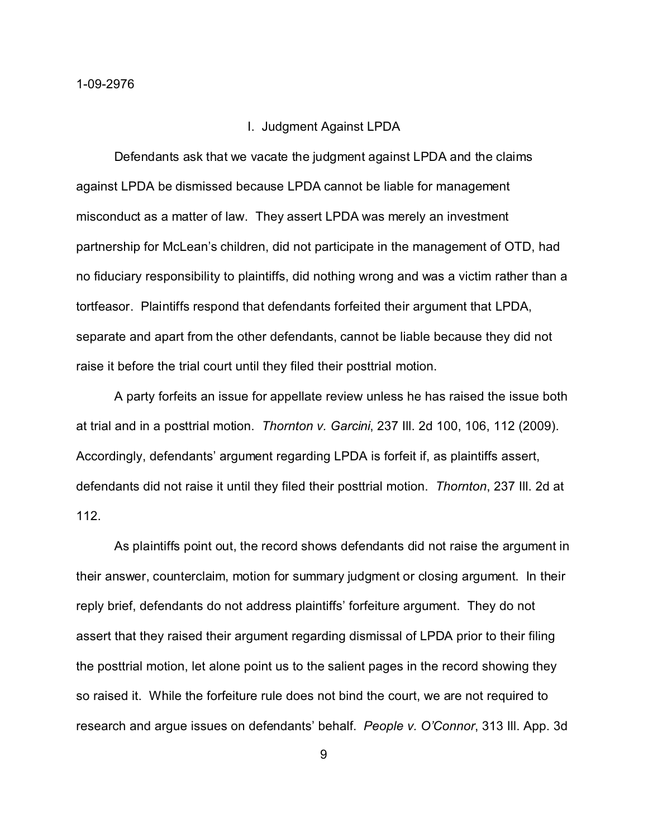#### I. Judgment Against LPDA

Defendants ask that we vacate the judgment against LPDA and the claims against LPDA be dismissed because LPDA cannot be liable for management misconduct as a matter of law. They assert LPDA was merely an investment partnership for McLean's children, did not participate in the management of OTD, had no fiduciary responsibility to plaintiffs, did nothing wrong and was a victim rather than a tortfeasor. Plaintiffs respond that defendants forfeited their argument that LPDA, separate and apart from the other defendants, cannot be liable because they did not raise it before the trial court until they filed their posttrial motion.

A party forfeits an issue for appellate review unless he has raised the issue both at trial and in a posttrial motion. *Thornton v. Garcini*, 237 Ill. 2d 100, 106, 112 (2009). Accordingly, defendants' argument regarding LPDA is forfeit if, as plaintiffs assert, defendants did not raise it until they filed their posttrial motion. *Thornton*, 237 Ill. 2d at 112.

As plaintiffs point out, the record shows defendants did not raise the argument in their answer, counterclaim, motion for summary judgment or closing argument. In their reply brief, defendants do not address plaintiffs' forfeiture argument. They do not assert that they raised their argument regarding dismissal of LPDA prior to their filing the posttrial motion, let alone point us to the salient pages in the record showing they so raised it. While the forfeiture rule does not bind the court, we are not required to research and argue issues on defendants' behalf. *People v. O'Connor*, 313 Ill. App. 3d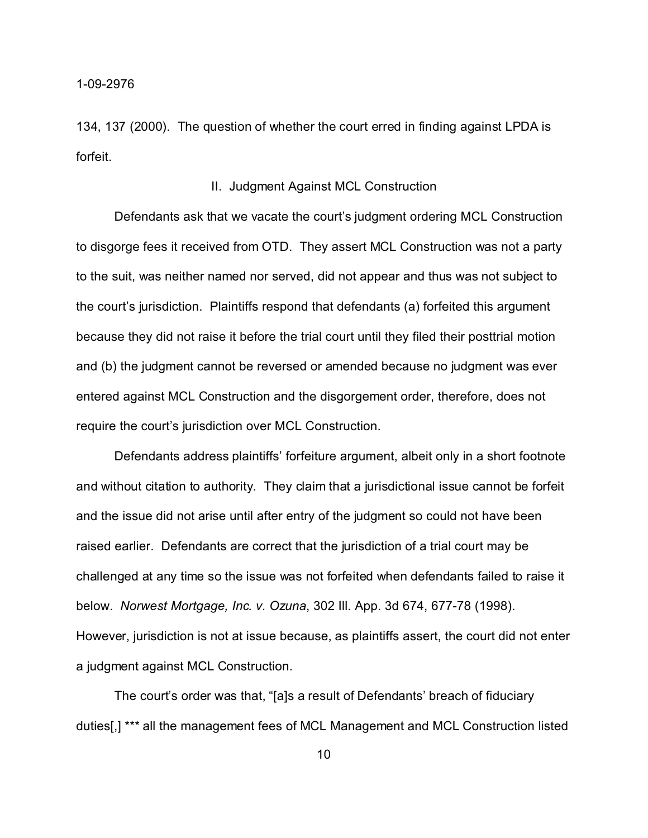134, 137 (2000). The question of whether the court erred in finding against LPDA is forfeit.

### II. Judgment Against MCL Construction

Defendants ask that we vacate the court's judgment ordering MCL Construction to disgorge fees it received from OTD. They assert MCL Construction was not a party to the suit, was neither named nor served, did not appear and thus was not subject to the court's jurisdiction. Plaintiffs respond that defendants (a) forfeited this argument because they did not raise it before the trial court until they filed their posttrial motion and (b) the judgment cannot be reversed or amended because no judgment was ever entered against MCL Construction and the disgorgement order, therefore, does not require the court's jurisdiction over MCL Construction.

Defendants address plaintiffs' forfeiture argument, albeit only in a short footnote and without citation to authority. They claim that a jurisdictional issue cannot be forfeit and the issue did not arise until after entry of the judgment so could not have been raised earlier. Defendants are correct that the jurisdiction of a trial court may be challenged at any time so the issue was not forfeited when defendants failed to raise it below. *Norwest Mortgage, Inc. v. Ozuna*, 302 Ill. App. 3d 674, 677-78 (1998). However, jurisdiction is not at issue because, as plaintiffs assert, the court did not enter a judgment against MCL Construction.

The court's order was that, "[a]s a result of Defendants' breach of fiduciary duties[,] \*\*\* all the management fees of MCL Management and MCL Construction listed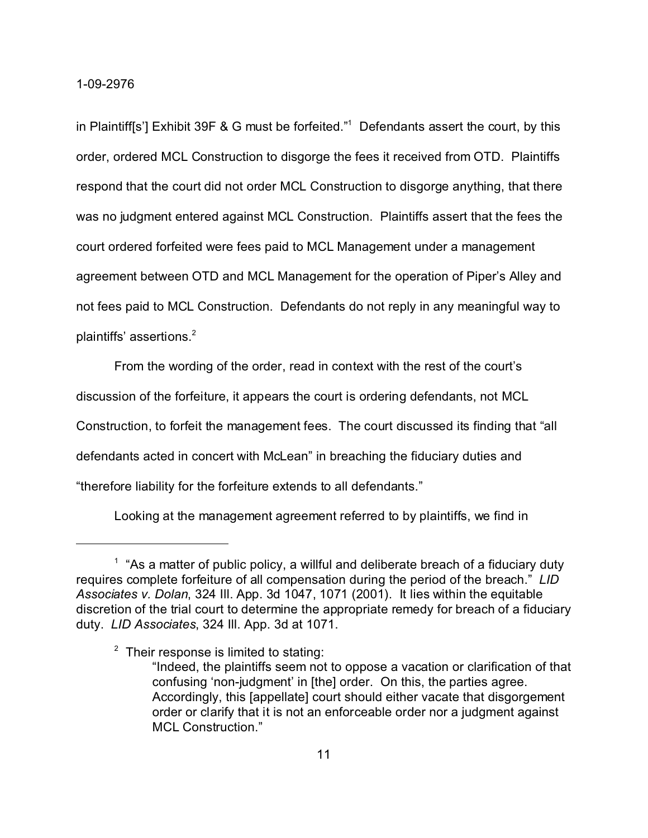in Plaintiff[s'] Exhibit 39F & G must be forfeited."1 Defendants assert the court, by this order, ordered MCL Construction to disgorge the fees it received from OTD. Plaintiffs respond that the court did not order MCL Construction to disgorge anything, that there was no judgment entered against MCL Construction. Plaintiffs assert that the fees the court ordered forfeited were fees paid to MCL Management under a management agreement between OTD and MCL Management for the operation of Piper's Alley and not fees paid to MCL Construction. Defendants do not reply in any meaningful way to plaintiffs' assertions. $2$ 

From the wording of the order, read in context with the rest of the court's

discussion of the forfeiture, it appears the court is ordering defendants, not MCL

Construction, to forfeit the management fees. The court discussed its finding that "all

defendants acted in concert with McLean" in breaching the fiduciary duties and

"therefore liability for the forfeiture extends to all defendants."

Looking at the management agreement referred to by plaintiffs, we find in

 $1$  "As a matter of public policy, a willful and deliberate breach of a fiduciary duty requires complete forfeiture of all compensation during the period of the breach." *LID Associates v. Dolan*, 324 Ill. App. 3d 1047, 1071 (2001). It lies within the equitable discretion of the trial court to determine the appropriate remedy for breach of a fiduciary duty. *LID Associates*, 324 Ill. App. 3d at 1071.

 $2$  Their response is limited to stating:

<sup>&</sup>quot;Indeed, the plaintiffs seem not to oppose a vacation or clarification of that confusing 'non-judgment' in [the] order. On this, the parties agree. Accordingly, this [appellate] court should either vacate that disgorgement order or clarify that it is not an enforceable order nor a judgment against MCL Construction."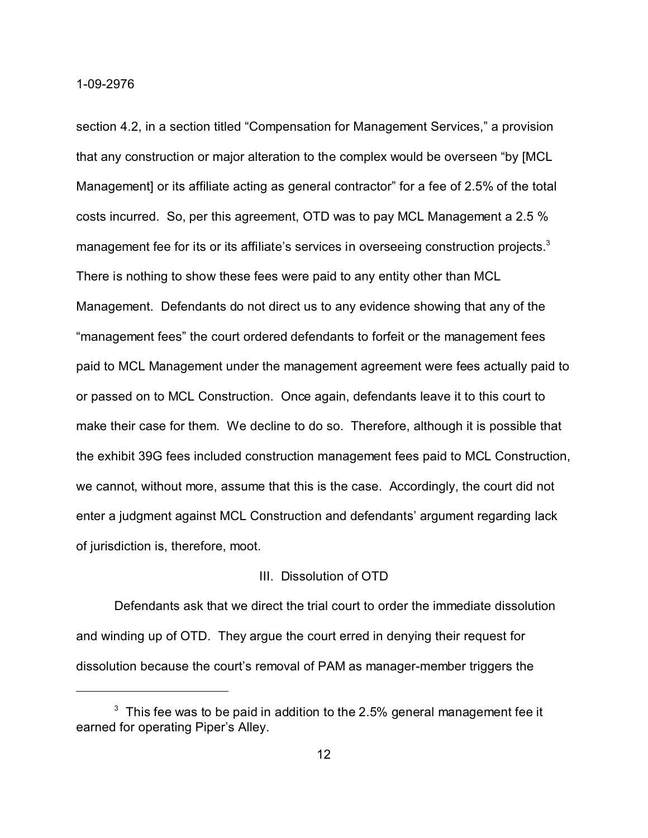section 4.2, in a section titled "Compensation for Management Services," a provision that any construction or major alteration to the complex would be overseen "by [MCL Management] or its affiliate acting as general contractor" for a fee of 2.5% of the total costs incurred. So, per this agreement, OTD was to pay MCL Management a 2.5 % management fee for its or its affiliate's services in overseeing construction projects.<sup>3</sup> There is nothing to show these fees were paid to any entity other than MCL Management. Defendants do not direct us to any evidence showing that any of the "management fees" the court ordered defendants to forfeit or the management fees paid to MCL Management under the management agreement were fees actually paid to or passed on to MCL Construction. Once again, defendants leave it to this court to make their case for them. We decline to do so. Therefore, although it is possible that the exhibit 39G fees included construction management fees paid to MCL Construction, we cannot, without more, assume that this is the case. Accordingly, the court did not enter a judgment against MCL Construction and defendants' argument regarding lack of jurisdiction is, therefore, moot.

### III. Dissolution of OTD

Defendants ask that we direct the trial court to order the immediate dissolution and winding up of OTD. They argue the court erred in denying their request for dissolution because the court's removal of PAM as manager-member triggers the

 $^{\rm 3}$  This fee was to be paid in addition to the 2.5% general management fee it earned for operating Piper's Alley.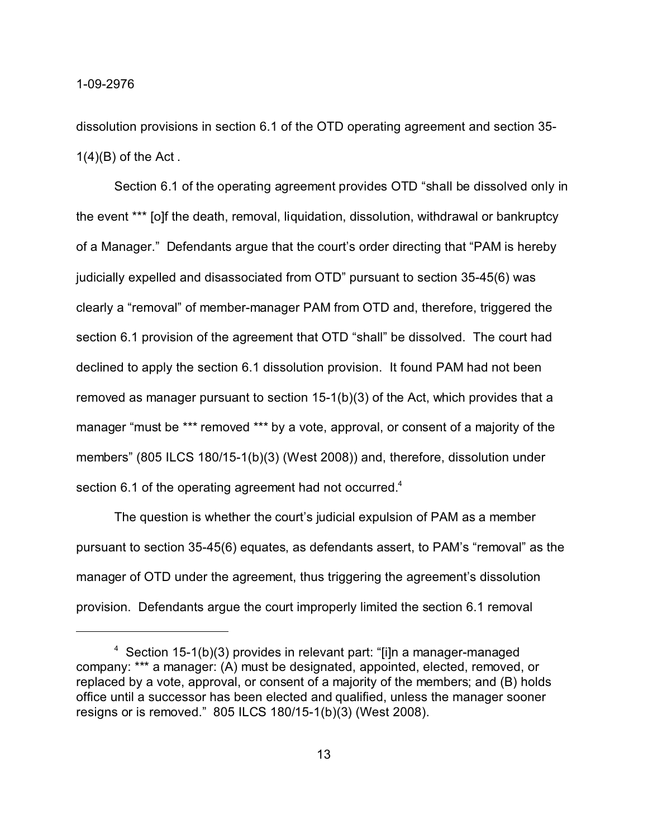dissolution provisions in section 6.1 of the OTD operating agreement and section 35-  $1(4)(B)$  of the Act.

Section 6.1 of the operating agreement provides OTD "shall be dissolved only in the event \*\*\* [o]f the death, removal, liquidation, dissolution, withdrawal or bankruptcy of a Manager." Defendants argue that the court's order directing that "PAM is hereby judicially expelled and disassociated from OTD" pursuant to section 35-45(6) was clearly a "removal" of member-manager PAM from OTD and, therefore, triggered the section 6.1 provision of the agreement that OTD "shall" be dissolved. The court had declined to apply the section 6.1 dissolution provision. It found PAM had not been removed as manager pursuant to section 15-1(b)(3) of the Act, which provides that a manager "must be \*\*\* removed \*\*\* by a vote, approval, or consent of a majority of the members" (805 ILCS 180/15-1(b)(3) (West 2008)) and, therefore, dissolution under section 6.1 of the operating agreement had not occurred.<sup>4</sup>

The question is whether the court's judicial expulsion of PAM as a member pursuant to section 35-45(6) equates, as defendants assert, to PAM's "removal" as the manager of OTD under the agreement, thus triggering the agreement's dissolution provision. Defendants argue the court improperly limited the section 6.1 removal

<sup>4</sup> Section 15-1(b)(3) provides in relevant part: "[i]n a manager-managed company: \*\*\* a manager: (A) must be designated, appointed, elected, removed, or replaced by a vote, approval, or consent of a majority of the members; and (B) holds office until a successor has been elected and qualified, unless the manager sooner resigns or is removed." 805 ILCS 180/15-1(b)(3) (West 2008).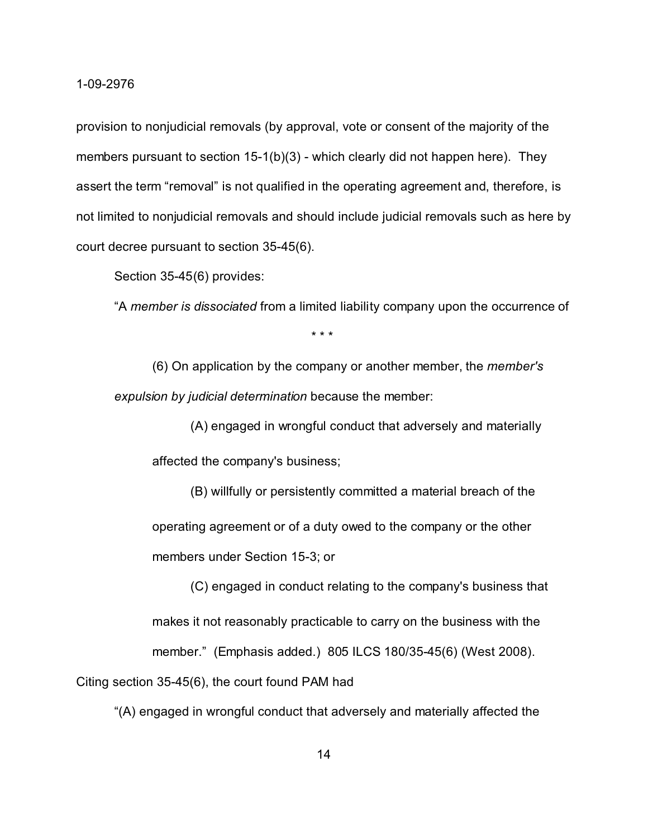provision to nonjudicial removals (by approval, vote or consent of the majority of the members pursuant to section 15-1(b)(3) - which clearly did not happen here). They assert the term "removal" is not qualified in the operating agreement and, therefore, is not limited to nonjudicial removals and should include judicial removals such as here by court decree pursuant to section 35-45(6).

Section 35-45(6) provides:

"A *member is dissociated* from a limited liability company upon the occurrence of

\* \* \*

(6) On application by the company or another member, the *member's expulsion by judicial determination* because the member:

(A) engaged in wrongful conduct that adversely and materially

affected the company's business;

(B) willfully or persistently committed a material breach of the operating agreement or of a duty owed to the company or the other members under Section 15-3; or

(C) engaged in conduct relating to the company's business that makes it not reasonably practicable to carry on the business with the member." (Emphasis added.) 805 ILCS 180/35-45(6) (West 2008).

Citing section 35-45(6), the court found PAM had

"(A) engaged in wrongful conduct that adversely and materially affected the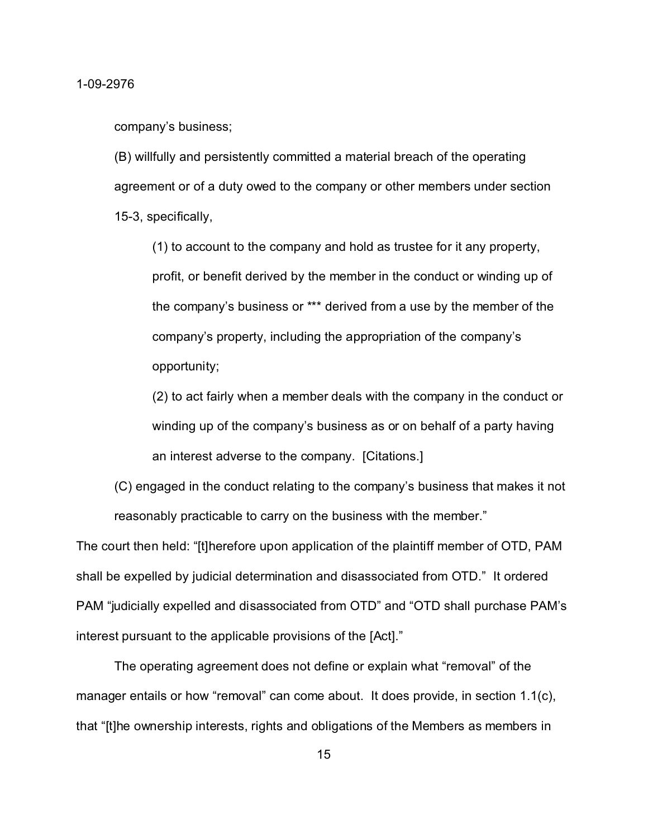company's business;

(B) willfully and persistently committed a material breach of the operating agreement or of a duty owed to the company or other members under section 15-3, specifically,

(1) to account to the company and hold as trustee for it any property, profit, or benefit derived by the member in the conduct or winding up of the company's business or \*\*\* derived from a use by the member of the company's property, including the appropriation of the company's opportunity;

(2) to act fairly when a member deals with the company in the conduct or winding up of the company's business as or on behalf of a party having an interest adverse to the company. [Citations.]

(C) engaged in the conduct relating to the company's business that makes it not reasonably practicable to carry on the business with the member."

The court then held: "[t]herefore upon application of the plaintiff member of OTD, PAM shall be expelled by judicial determination and disassociated from OTD." It ordered PAM "judicially expelled and disassociated from OTD" and "OTD shall purchase PAM's interest pursuant to the applicable provisions of the [Act]."

The operating agreement does not define or explain what "removal" of the manager entails or how "removal" can come about. It does provide, in section  $1.1(c)$ , that "[t]he ownership interests, rights and obligations of the Members as members in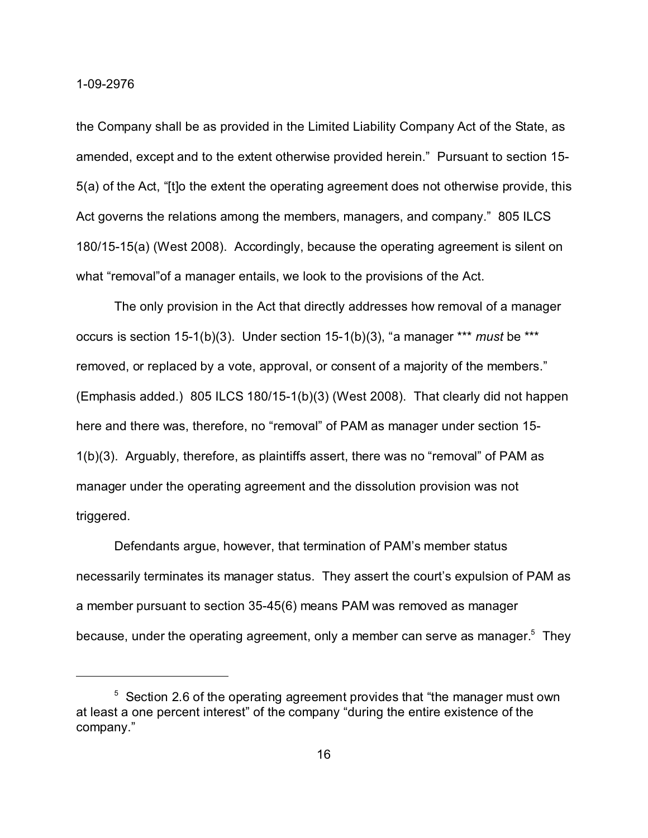the Company shall be as provided in the Limited Liability Company Act of the State, as amended, except and to the extent otherwise provided herein." Pursuant to section 15- 5(a) of the Act, "[t]o the extent the operating agreement does not otherwise provide, this Act governs the relations among the members, managers, and company." 805 ILCS 180/15-15(a) (West 2008). Accordingly, because the operating agreement is silent on what "removal" of a manager entails, we look to the provisions of the Act.

The only provision in the Act that directly addresses how removal of a manager occurs is section 15-1(b)(3). Under section 15-1(b)(3), "a manager \*\*\* *must* be \*\*\* removed, or replaced by a vote, approval, or consent of a majority of the members." (Emphasis added.) 805 ILCS 180/15-1(b)(3) (West 2008). That clearly did not happen here and there was, therefore, no "removal" of PAM as manager under section 15- 1(b)(3). Arguably, therefore, as plaintiffs assert, there was no "removal" of PAM as manager under the operating agreement and the dissolution provision was not triggered.

Defendants argue, however, that termination of PAM's member status necessarily terminates its manager status. They assert the court's expulsion of PAM as a member pursuant to section 35-45(6) means PAM was removed as manager because, under the operating agreement, only a member can serve as manager. $^5$  They

<sup>&</sup>lt;sup>5</sup> Section 2.6 of the operating agreement provides that "the manager must own at least a one percent interest" of the company "during the entire existence of the company."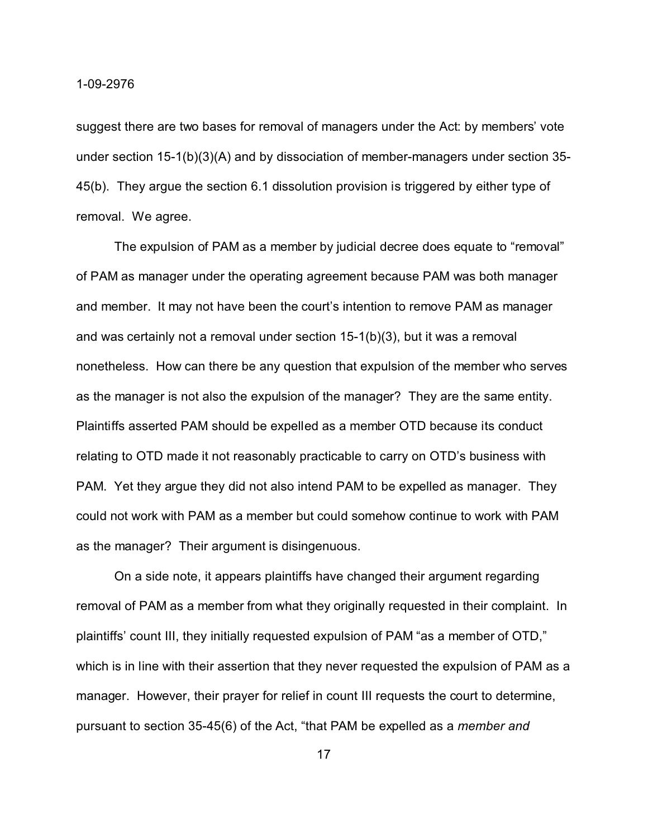suggest there are two bases for removal of managers under the Act: by members' vote under section 15-1(b)(3)(A) and by dissociation of member-managers under section 35- 45(b). They argue the section 6.1 dissolution provision is triggered by either type of removal. We agree.

The expulsion of PAM as a member by judicial decree does equate to "removal" of PAM as manager under the operating agreement because PAM was both manager and member. It may not have been the court's intention to remove PAM as manager and was certainly not a removal under section 15-1(b)(3), but it was a removal nonetheless. How can there be any question that expulsion of the member who serves as the manager is not also the expulsion of the manager? They are the same entity. Plaintiffs asserted PAM should be expelled as a member OTD because its conduct relating to OTD made it not reasonably practicable to carry on OTD's business with PAM. Yet they argue they did not also intend PAM to be expelled as manager. They could not work with PAM as a member but could somehow continue to work with PAM as the manager? Their argument is disingenuous.

On a side note, it appears plaintiffs have changed their argument regarding removal of PAM as a member from what they originally requested in their complaint. In plaintiffs' count III, they initially requested expulsion of PAM "as a member of OTD," which is in line with their assertion that they never requested the expulsion of PAM as a manager. However, their prayer for relief in count III requests the court to determine, pursuant to section 35-45(6) of the Act, "that PAM be expelled as a *member and*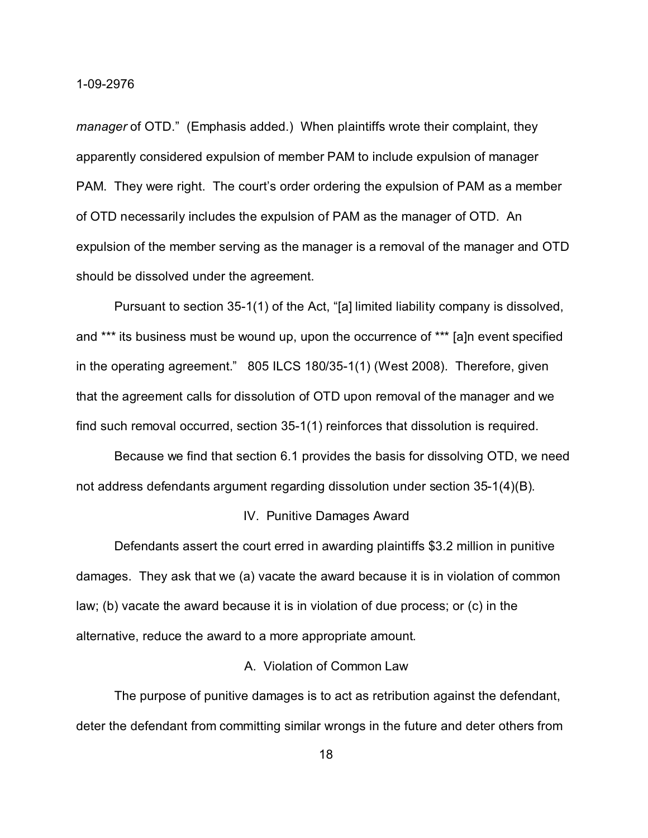*manager* of OTD." (Emphasis added.) When plaintiffs wrote their complaint, they apparently considered expulsion of member PAM to include expulsion of manager PAM. They were right. The court's order ordering the expulsion of PAM as a member of OTD necessarily includes the expulsion of PAM as the manager of OTD. An expulsion of the member serving as the manager is a removal of the manager and OTD should be dissolved under the agreement.

Pursuant to section 35-1(1) of the Act, "[a] limited liability company is dissolved, and \*\*\* its business must be wound up, upon the occurrence of \*\*\* [a]n event specified in the operating agreement." 805 ILCS 180/35-1(1) (West 2008). Therefore, given that the agreement calls for dissolution of OTD upon removal of the manager and we find such removal occurred, section 35-1(1) reinforces that dissolution is required.

Because we find that section 6.1 provides the basis for dissolving OTD, we need not address defendants argument regarding dissolution under section 35-1(4)(B).

#### IV. Punitive Damages Award

Defendants assert the court erred in awarding plaintiffs \$3.2 million in punitive damages. They ask that we (a) vacate the award because it is in violation of common law; (b) vacate the award because it is in violation of due process; or (c) in the alternative, reduce the award to a more appropriate amount.

# A. Violation of Common Law

The purpose of punitive damages is to act as retribution against the defendant, deter the defendant from committing similar wrongs in the future and deter others from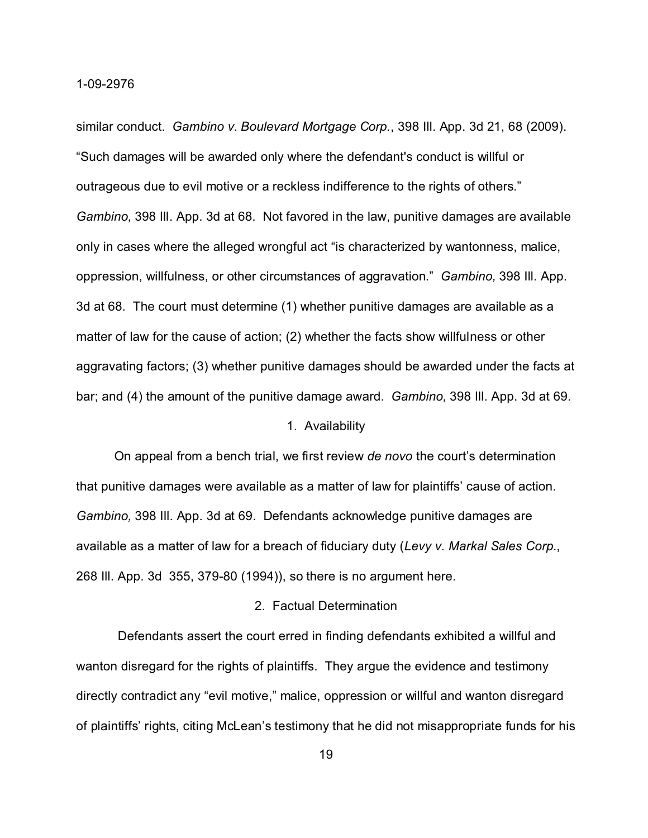similar conduct. *Gambino v. Boulevard Mortgage Corp.*, 398 Ill. App. 3d 21, 68 (2009). "Such damages will be awarded only where the defendant's conduct is willful or outrageous due to evil motive or a reckless indifference to the rights of others." *Gambino,* 398 Ill. App. 3d at 68. Not favored in the law, punitive damages are available only in cases where the alleged wrongful act "is characterized by wantonness, malice, oppression, willfulness, or other circumstances of aggravation." *Gambino,* 398 Ill. App. 3d at 68. The court must determine (1) whether punitive damages are available as a matter of law for the cause of action; (2) whether the facts show willfulness or other aggravating factors; (3) whether punitive damages should be awarded under the facts at bar; and (4) the amount of the punitive damage award. *Gambino,* 398 Ill. App. 3d at 69.

### 1. Availability

On appeal from a bench trial, we first review *de novo* the court's determination that punitive damages were available as a matter of law for plaintiffs' cause of action. *Gambino,* 398 Ill. App. 3d at 69. Defendants acknowledge punitive damages are available as a matter of law for a breach of fiduciary duty (*Levy v. Markal Sales Corp.*, 268 Ill. App. 3d 355, 379-80 (1994)), so there is no argument here.

# 2. Factual Determination

 Defendants assert the court erred in finding defendants exhibited a willful and wanton disregard for the rights of plaintiffs. They argue the evidence and testimony directly contradict any "evil motive," malice, oppression or willful and wanton disregard of plaintiffs' rights, citing McLean's testimony that he did not misappropriate funds for his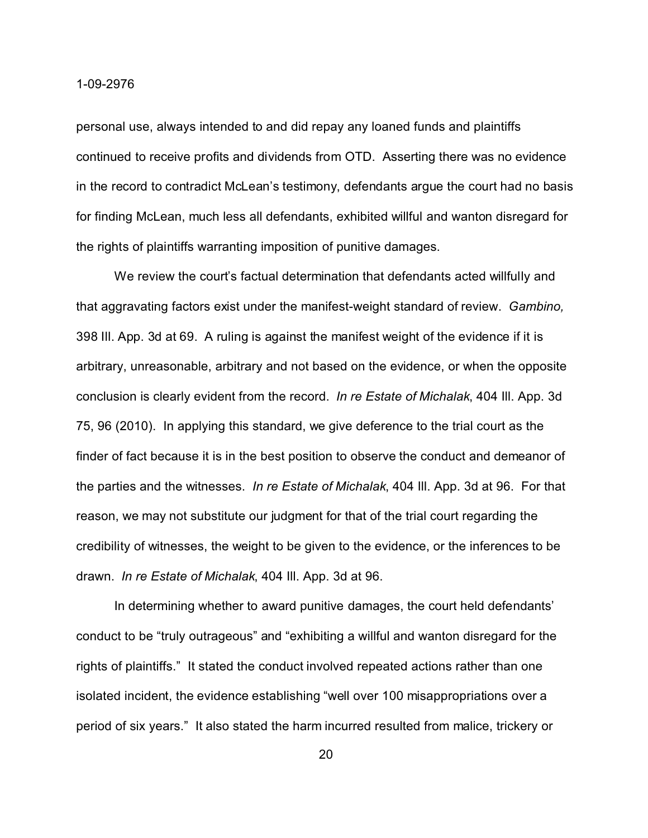personal use, always intended to and did repay any loaned funds and plaintiffs continued to receive profits and dividends from OTD. Asserting there was no evidence in the record to contradict McLean's testimony, defendants argue the court had no basis for finding McLean, much less all defendants, exhibited willful and wanton disregard for the rights of plaintiffs warranting imposition of punitive damages.

We review the court's factual determination that defendants acted willfully and that aggravating factors exist under the manifest-weight standard of review. *Gambino,* 398 Ill. App. 3d at 69. A ruling is against the manifest weight of the evidence if it is arbitrary, unreasonable, arbitrary and not based on the evidence, or when the opposite conclusion is clearly evident from the record. *In re Estate of Michalak*, 404 Ill. App. 3d 75, 96 (2010). In applying this standard, we give deference to the trial court as the finder of fact because it is in the best position to observe the conduct and demeanor of the parties and the witnesses. *In re Estate of Michalak*, 404 Ill. App. 3d at 96. For that reason, we may not substitute our judgment for that of the trial court regarding the credibility of witnesses, the weight to be given to the evidence, or the inferences to be drawn. *In re Estate of Michalak*, 404 Ill. App. 3d at 96.

In determining whether to award punitive damages, the court held defendants' conduct to be "truly outrageous" and "exhibiting a willful and wanton disregard for the rights of plaintiffs." It stated the conduct involved repeated actions rather than one isolated incident, the evidence establishing "well over 100 misappropriations over a period of six years." It also stated the harm incurred resulted from malice, trickery or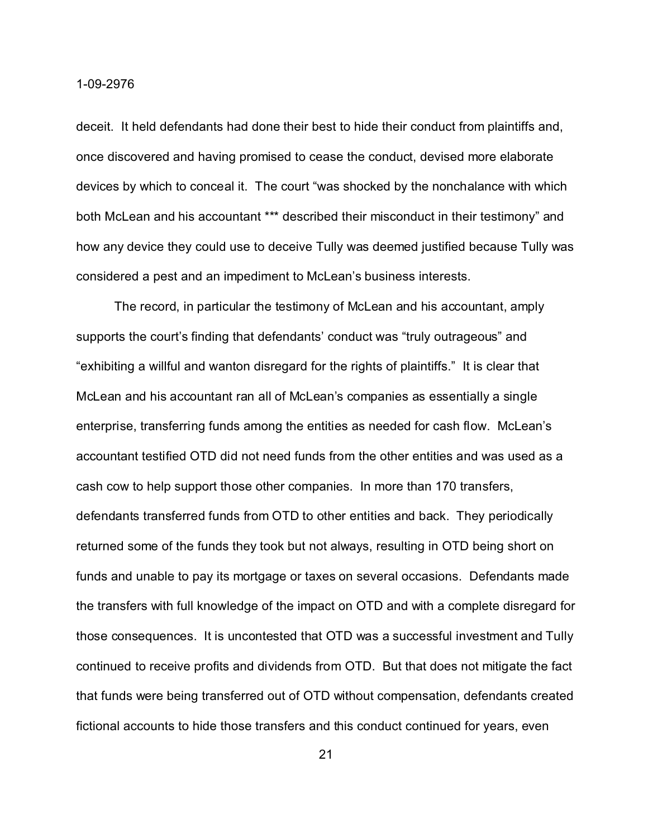deceit. It held defendants had done their best to hide their conduct from plaintiffs and, once discovered and having promised to cease the conduct, devised more elaborate devices by which to conceal it. The court "was shocked by the nonchalance with which both McLean and his accountant \*\*\* described their misconduct in their testimony" and how any device they could use to deceive Tully was deemed justified because Tully was considered a pest and an impediment to McLean's business interests.

The record, in particular the testimony of McLean and his accountant, amply supports the court's finding that defendants' conduct was "truly outrageous" and "exhibiting a willful and wanton disregard for the rights of plaintiffs." It is clear that McLean and his accountant ran all of McLean's companies as essentially a single enterprise, transferring funds among the entities as needed for cash flow. McLean's accountant testified OTD did not need funds from the other entities and was used as a cash cow to help support those other companies. In more than 170 transfers, defendants transferred funds from OTD to other entities and back. They periodically returned some of the funds they took but not always, resulting in OTD being short on funds and unable to pay its mortgage or taxes on several occasions. Defendants made the transfers with full knowledge of the impact on OTD and with a complete disregard for those consequences. It is uncontested that OTD was a successful investment and Tully continued to receive profits and dividends from OTD. But that does not mitigate the fact that funds were being transferred out of OTD without compensation, defendants created fictional accounts to hide those transfers and this conduct continued for years, even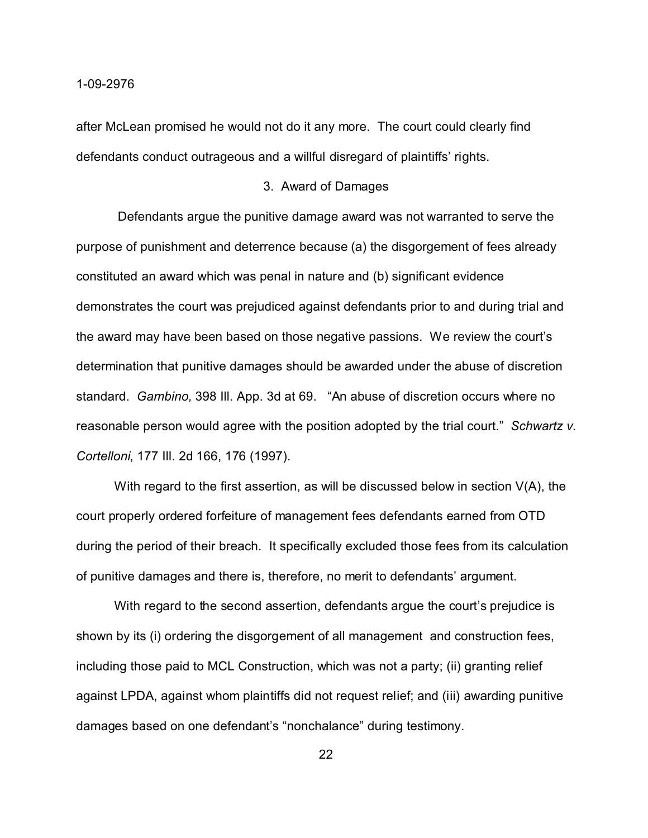after McLean promised he would not do it any more. The court could clearly find defendants conduct outrageous and a willful disregard of plaintiffs' rights.

### 3. Award of Damages

 Defendants argue the punitive damage award was not warranted to serve the purpose of punishment and deterrence because (a) the disgorgement of fees already constituted an award which was penal in nature and (b) significant evidence demonstrates the court was prejudiced against defendants prior to and during trial and the award may have been based on those negative passions. We review the court's determination that punitive damages should be awarded under the abuse of discretion standard. *Gambino,* 398 Ill. App. 3d at 69. "An abuse of discretion occurs where no reasonable person would agree with the position adopted by the trial court." *Schwartz v. Cortelloni*, 177 Ill. 2d 166, 176 (1997).

With regard to the first assertion, as will be discussed below in section V(A), the court properly ordered forfeiture of management fees defendants earned from OTD during the period of their breach. It specifically excluded those fees from its calculation of punitive damages and there is, therefore, no merit to defendants' argument.

With regard to the second assertion, defendants argue the court's prejudice is shown by its (i) ordering the disgorgement of all management and construction fees, including those paid to MCL Construction, which was not a party; (ii) granting relief against LPDA, against whom plaintiffs did not request relief; and (iii) awarding punitive damages based on one defendant's "nonchalance" during testimony.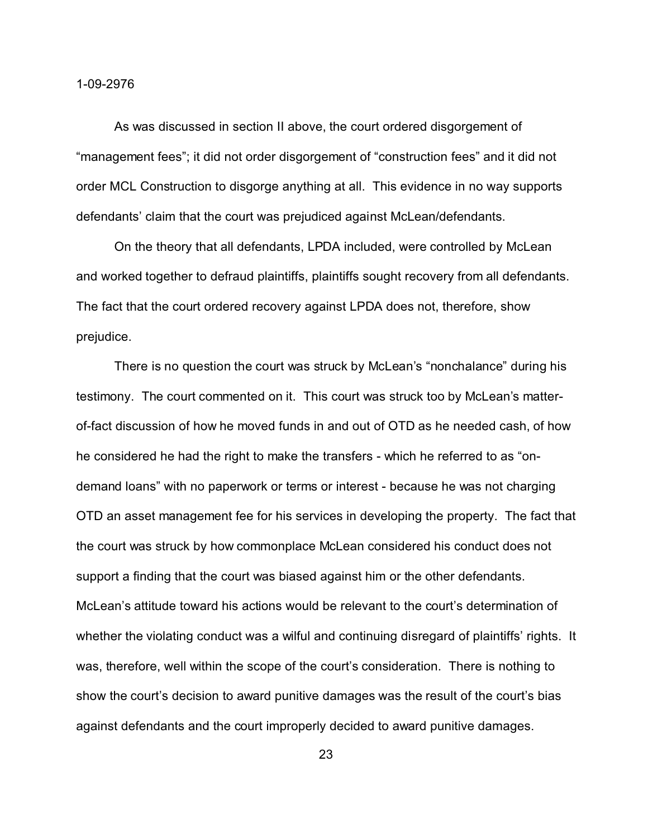As was discussed in section II above, the court ordered disgorgement of "management fees"; it did not order disgorgement of "construction fees" and it did not order MCL Construction to disgorge anything at all. This evidence in no way supports defendants' claim that the court was prejudiced against McLean/defendants.

On the theory that all defendants, LPDA included, were controlled by McLean and worked together to defraud plaintiffs, plaintiffs sought recovery from all defendants. The fact that the court ordered recovery against LPDA does not, therefore, show prejudice.

There is no question the court was struck by McLean's "nonchalance" during his testimony. The court commented on it. This court was struck too by McLean's matterof-fact discussion of how he moved funds in and out of OTD as he needed cash, of how he considered he had the right to make the transfers - which he referred to as "ondemand loans" with no paperwork or terms or interest - because he was not charging OTD an asset management fee for his services in developing the property. The fact that the court was struck by how commonplace McLean considered his conduct does not support a finding that the court was biased against him or the other defendants. McLean's attitude toward his actions would be relevant to the court's determination of whether the violating conduct was a wilful and continuing disregard of plaintiffs' rights. It was, therefore, well within the scope of the court's consideration. There is nothing to show the court's decision to award punitive damages was the result of the court's bias against defendants and the court improperly decided to award punitive damages.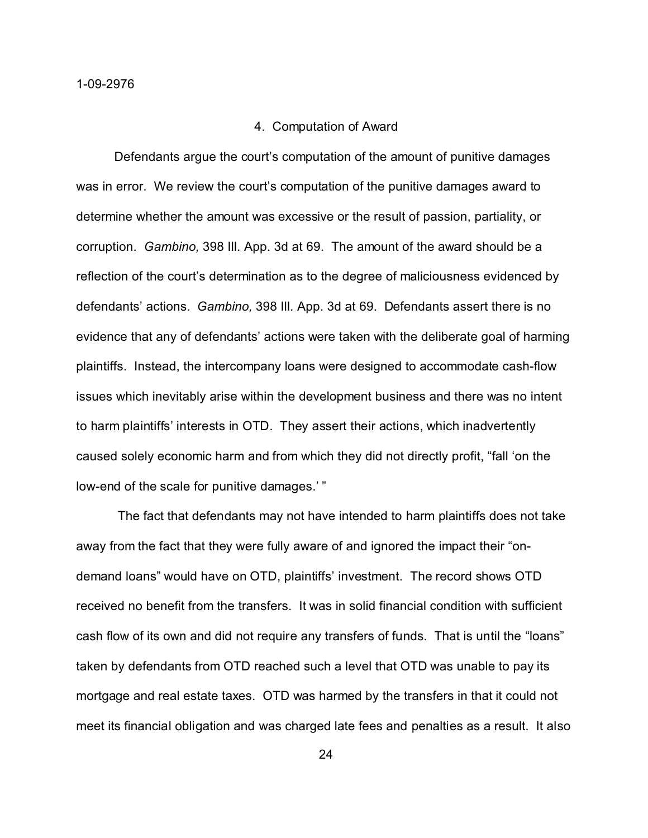#### 4. Computation of Award

Defendants argue the court's computation of the amount of punitive damages was in error. We review the court's computation of the punitive damages award to determine whether the amount was excessive or the result of passion, partiality, or corruption. *Gambino,* 398 Ill. App. 3d at 69. The amount of the award should be a reflection of the court's determination as to the degree of maliciousness evidenced by defendants' actions. *Gambino,* 398 Ill. App. 3d at 69. Defendants assert there is no evidence that any of defendants' actions were taken with the deliberate goal of harming plaintiffs. Instead, the intercompany loans were designed to accommodate cash-flow issues which inevitably arise within the development business and there was no intent to harm plaintiffs' interests in OTD. They assert their actions, which inadvertently caused solely economic harm and from which they did not directly profit, "fall 'on the low-end of the scale for punitive damages.'"

 The fact that defendants may not have intended to harm plaintiffs does not take away from the fact that they were fully aware of and ignored the impact their "ondemand loans" would have on OTD, plaintiffs' investment. The record shows OTD received no benefit from the transfers. It was in solid financial condition with sufficient cash flow of its own and did not require any transfers of funds. That is until the "loans" taken by defendants from OTD reached such a level that OTD was unable to pay its mortgage and real estate taxes. OTD was harmed by the transfers in that it could not meet its financial obligation and was charged late fees and penalties as a result. It also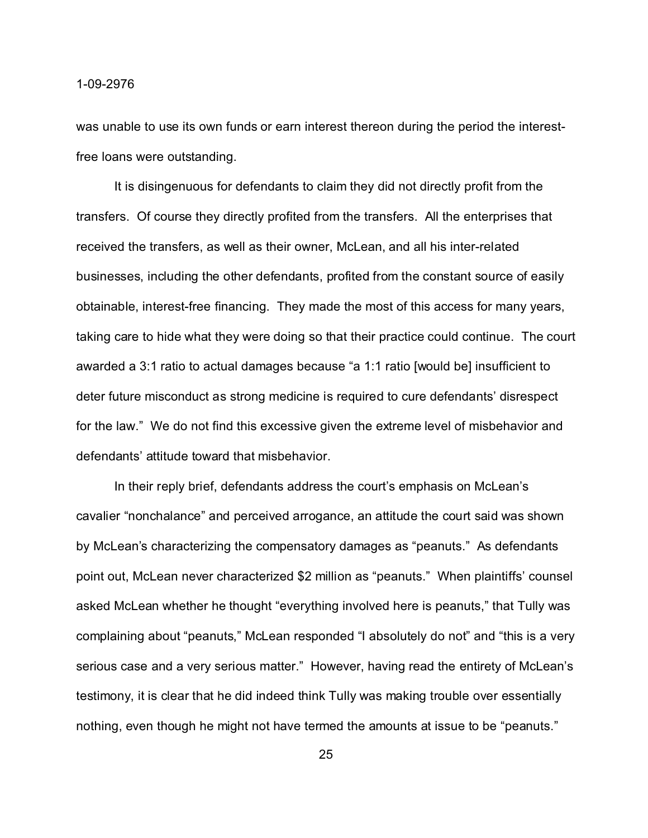was unable to use its own funds or earn interest thereon during the period the interestfree loans were outstanding.

It is disingenuous for defendants to claim they did not directly profit from the transfers. Of course they directly profited from the transfers. All the enterprises that received the transfers, as well as their owner, McLean, and all his inter-related businesses, including the other defendants, profited from the constant source of easily obtainable, interest-free financing. They made the most of this access for many years, taking care to hide what they were doing so that their practice could continue. The court awarded a 3:1 ratio to actual damages because "a 1:1 ratio [would be] insufficient to deter future misconduct as strong medicine is required to cure defendants' disrespect for the law." We do not find this excessive given the extreme level of misbehavior and defendants' attitude toward that misbehavior.

In their reply brief, defendants address the court's emphasis on McLean's cavalier "nonchalance" and perceived arrogance, an attitude the court said was shown by McLean's characterizing the compensatory damages as "peanuts." As defendants point out, McLean never characterized \$2 million as "peanuts." When plaintiffs' counsel asked McLean whether he thought "everything involved here is peanuts," that Tully was complaining about "peanuts," McLean responded "I absolutely do not" and "this is a very serious case and a very serious matter." However, having read the entirety of McLean's testimony, it is clear that he did indeed think Tully was making trouble over essentially nothing, even though he might not have termed the amounts at issue to be "peanuts."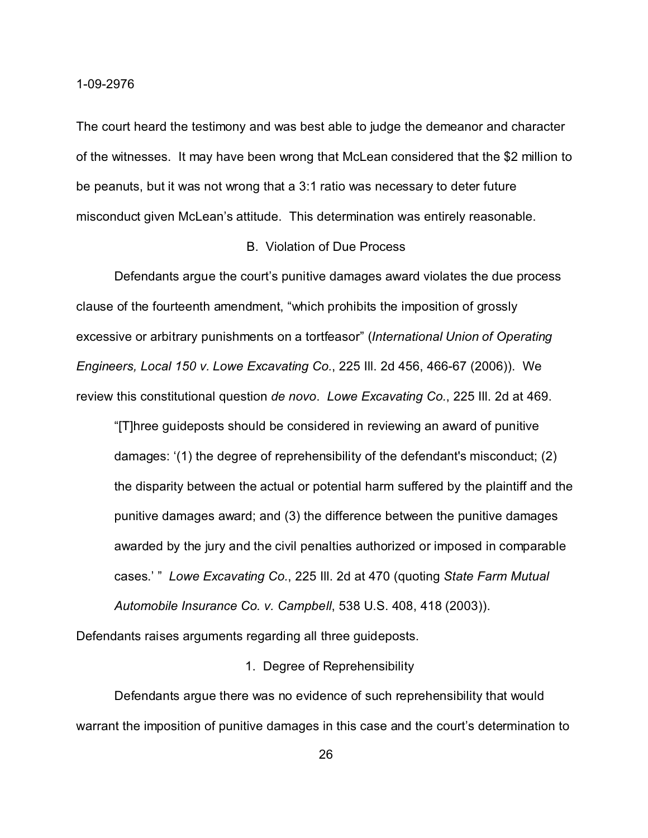The court heard the testimony and was best able to judge the demeanor and character of the witnesses. It may have been wrong that McLean considered that the \$2 million to be peanuts, but it was not wrong that a 3:1 ratio was necessary to deter future misconduct given McLean's attitude. This determination was entirely reasonable.

### B. Violation of Due Process

Defendants argue the court's punitive damages award violates the due process clause of the fourteenth amendment, "which prohibits the imposition of grossly excessive or arbitrary punishments on a tortfeasor" (*International Union of Operating Engineers, Local 150 v. Lowe Excavating Co.*, 225 Ill. 2d 456, 466-67 (2006)). We review this constitutional question *de novo*. *Lowe Excavating Co.*, 225 Ill. 2d at 469.

"[T]hree guideposts should be considered in reviewing an award of punitive damages: '(1) the degree of reprehensibility of the defendant's misconduct; (2) the disparity between the actual or potential harm suffered by the plaintiff and the punitive damages award; and (3) the difference between the punitive damages awarded by the jury and the civil penalties authorized or imposed in comparable cases.' " *Lowe Excavating Co.*, 225 Ill. 2d at 470 (quoting *State Farm Mutual Automobile Insurance Co. v. Campbell*, 538 U.S. 408, 418 (2003)).

Defendants raises arguments regarding all three guideposts.

### 1. Degree of Reprehensibility

Defendants argue there was no evidence of such reprehensibility that would warrant the imposition of punitive damages in this case and the court's determination to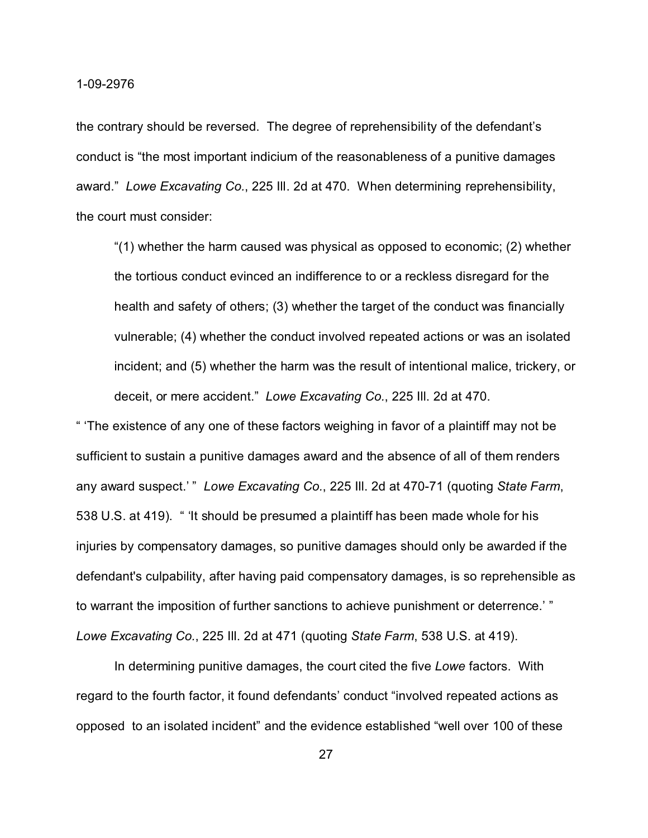the contrary should be reversed. The degree of reprehensibility of the defendant's conduct is "the most important indicium of the reasonableness of a punitive damages award." *Lowe Excavating Co.*, 225 Ill. 2d at 470. When determining reprehensibility, the court must consider:

"(1) whether the harm caused was physical as opposed to economic; (2) whether the tortious conduct evinced an indifference to or a reckless disregard for the health and safety of others; (3) whether the target of the conduct was financially vulnerable; (4) whether the conduct involved repeated actions or was an isolated incident; and (5) whether the harm was the result of intentional malice, trickery, or deceit, or mere accident." *Lowe Excavating Co.*, 225 Ill. 2d at 470.

" 'The existence of any one of these factors weighing in favor of a plaintiff may not be sufficient to sustain a punitive damages award and the absence of all of them renders any award suspect.' " *Lowe Excavating Co.*, 225 Ill. 2d at 470-71 (quoting *State Farm*, 538 U.S. at 419). " 'It should be presumed a plaintiff has been made whole for his injuries by compensatory damages, so punitive damages should only be awarded if the defendant's culpability, after having paid compensatory damages, is so reprehensible as to warrant the imposition of further sanctions to achieve punishment or deterrence.' " *Lowe Excavating Co.*, 225 Ill. 2d at 471 (quoting *State Farm*, 538 U.S. at 419).

In determining punitive damages, the court cited the five *Lowe* factors. With regard to the fourth factor, it found defendants' conduct "involved repeated actions as opposed to an isolated incident" and the evidence established "well over 100 of these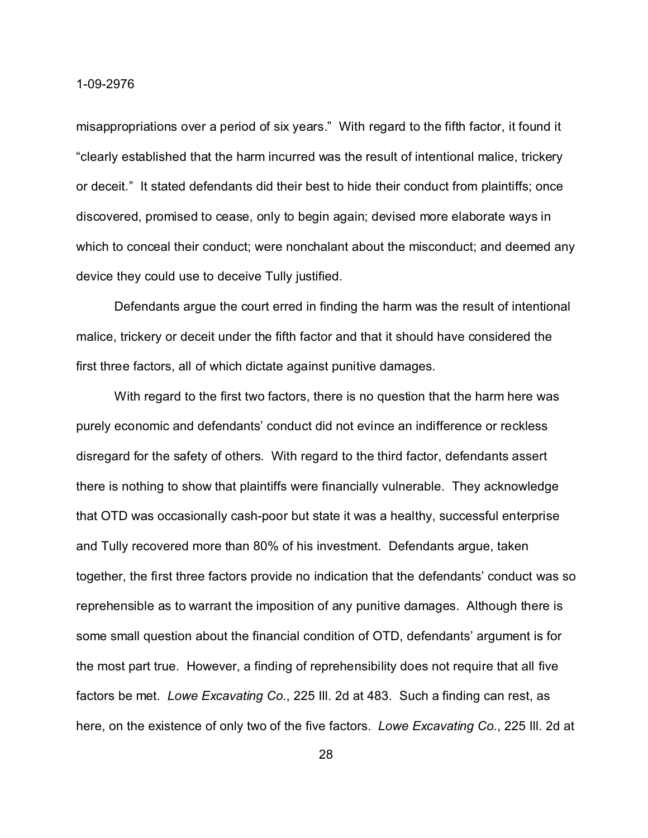misappropriations over a period of six years." With regard to the fifth factor, it found it "clearly established that the harm incurred was the result of intentional malice, trickery or deceit." It stated defendants did their best to hide their conduct from plaintiffs; once discovered, promised to cease, only to begin again; devised more elaborate ways in which to conceal their conduct; were nonchalant about the misconduct; and deemed any device they could use to deceive Tully justified.

Defendants argue the court erred in finding the harm was the result of intentional malice, trickery or deceit under the fifth factor and that it should have considered the first three factors, all of which dictate against punitive damages.

With regard to the first two factors, there is no question that the harm here was purely economic and defendants' conduct did not evince an indifference or reckless disregard for the safety of others. With regard to the third factor, defendants assert there is nothing to show that plaintiffs were financially vulnerable. They acknowledge that OTD was occasionally cash-poor but state it was a healthy, successful enterprise and Tully recovered more than 80% of his investment. Defendants argue, taken together, the first three factors provide no indication that the defendants' conduct was so reprehensible as to warrant the imposition of any punitive damages. Although there is some small question about the financial condition of OTD, defendants' argument is for the most part true. However, a finding of reprehensibility does not require that all five factors be met. *Lowe Excavating Co.*, 225 Ill. 2d at 483. Such a finding can rest, as here, on the existence of only two of the five factors. *Lowe Excavating Co.*, 225 Ill. 2d at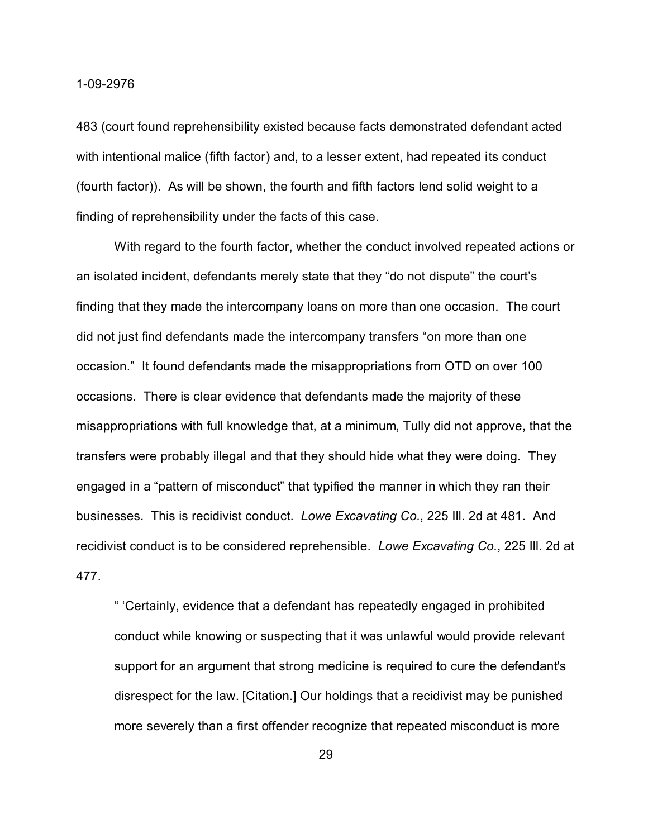483 (court found reprehensibility existed because facts demonstrated defendant acted with intentional malice (fifth factor) and, to a lesser extent, had repeated its conduct (fourth factor)). As will be shown, the fourth and fifth factors lend solid weight to a finding of reprehensibility under the facts of this case.

With regard to the fourth factor, whether the conduct involved repeated actions or an isolated incident, defendants merely state that they "do not dispute" the court's finding that they made the intercompany loans on more than one occasion. The court did not just find defendants made the intercompany transfers "on more than one occasion." It found defendants made the misappropriations from OTD on over 100 occasions. There is clear evidence that defendants made the majority of these misappropriations with full knowledge that, at a minimum, Tully did not approve, that the transfers were probably illegal and that they should hide what they were doing. They engaged in a "pattern of misconduct" that typified the manner in which they ran their businesses. This is recidivist conduct. *Lowe Excavating Co.*, 225 Ill. 2d at 481. And recidivist conduct is to be considered reprehensible. *Lowe Excavating Co.*, 225 Ill. 2d at 477.

" 'Certainly, evidence that a defendant has repeatedly engaged in prohibited conduct while knowing or suspecting that it was unlawful would provide relevant support for an argument that strong medicine is required to cure the defendant's disrespect for the law. [Citation.] Our holdings that a recidivist may be punished more severely than a first offender recognize that repeated misconduct is more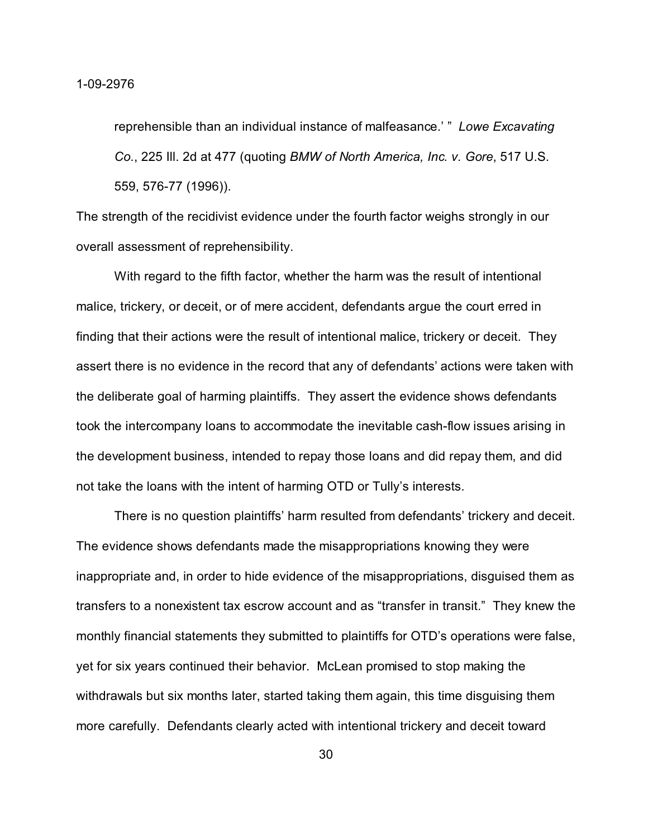reprehensible than an individual instance of malfeasance.' " *Lowe Excavating Co.*, 225 Ill. 2d at 477 (quoting *BMW of North America, Inc. v. Gore*, 517 U.S. 559, 576-77 (1996)).

The strength of the recidivist evidence under the fourth factor weighs strongly in our overall assessment of reprehensibility.

With regard to the fifth factor, whether the harm was the result of intentional malice, trickery, or deceit, or of mere accident, defendants argue the court erred in finding that their actions were the result of intentional malice, trickery or deceit. They assert there is no evidence in the record that any of defendants' actions were taken with the deliberate goal of harming plaintiffs. They assert the evidence shows defendants took the intercompany loans to accommodate the inevitable cash-flow issues arising in the development business, intended to repay those loans and did repay them, and did not take the loans with the intent of harming OTD or Tully's interests.

There is no question plaintiffs' harm resulted from defendants' trickery and deceit. The evidence shows defendants made the misappropriations knowing they were inappropriate and, in order to hide evidence of the misappropriations, disguised them as transfers to a nonexistent tax escrow account and as "transfer in transit." They knew the monthly financial statements they submitted to plaintiffs for OTD's operations were false, yet for six years continued their behavior. McLean promised to stop making the withdrawals but six months later, started taking them again, this time disguising them more carefully. Defendants clearly acted with intentional trickery and deceit toward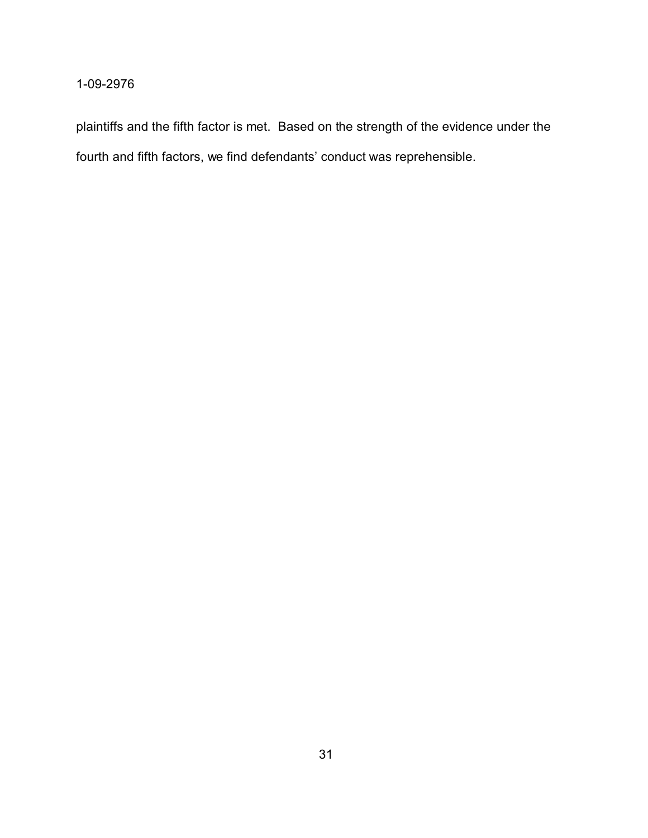plaintiffs and the fifth factor is met. Based on the strength of the evidence under the fourth and fifth factors, we find defendants' conduct was reprehensible.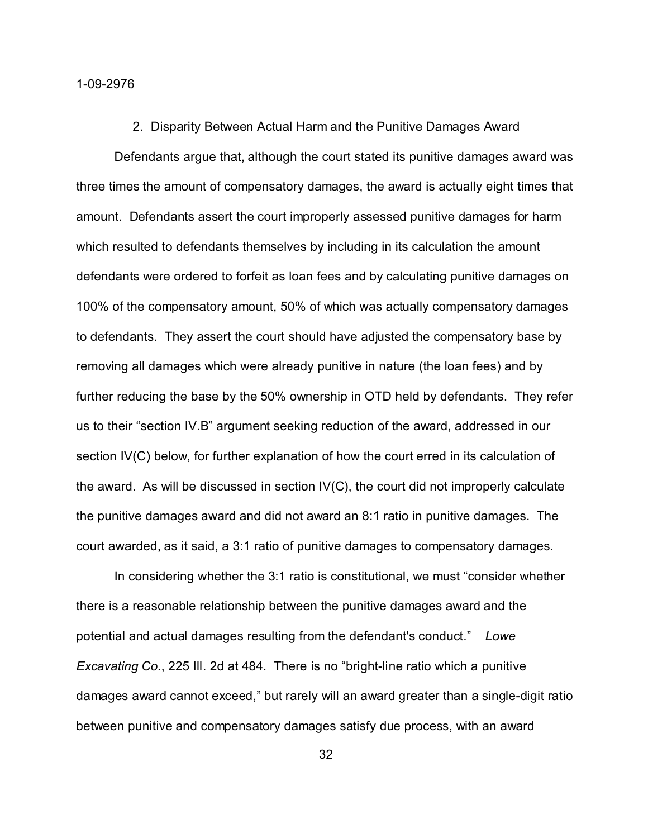#### 2. Disparity Between Actual Harm and the Punitive Damages Award

Defendants argue that, although the court stated its punitive damages award was three times the amount of compensatory damages, the award is actually eight times that amount. Defendants assert the court improperly assessed punitive damages for harm which resulted to defendants themselves by including in its calculation the amount defendants were ordered to forfeit as loan fees and by calculating punitive damages on 100% of the compensatory amount, 50% of which was actually compensatory damages to defendants. They assert the court should have adjusted the compensatory base by removing all damages which were already punitive in nature (the loan fees) and by further reducing the base by the 50% ownership in OTD held by defendants. They refer us to their "section IV.B" argument seeking reduction of the award, addressed in our section IV(C) below, for further explanation of how the court erred in its calculation of the award. As will be discussed in section  $IV(C)$ , the court did not improperly calculate the punitive damages award and did not award an 8:1 ratio in punitive damages. The court awarded, as it said, a 3:1 ratio of punitive damages to compensatory damages.

In considering whether the 3:1 ratio is constitutional, we must "consider whether there is a reasonable relationship between the punitive damages award and the potential and actual damages resulting from the defendant's conduct." *Lowe Excavating Co.*, 225 Ill. 2d at 484. There is no "bright-line ratio which a punitive damages award cannot exceed," but rarely will an award greater than a single-digit ratio between punitive and compensatory damages satisfy due process, with an award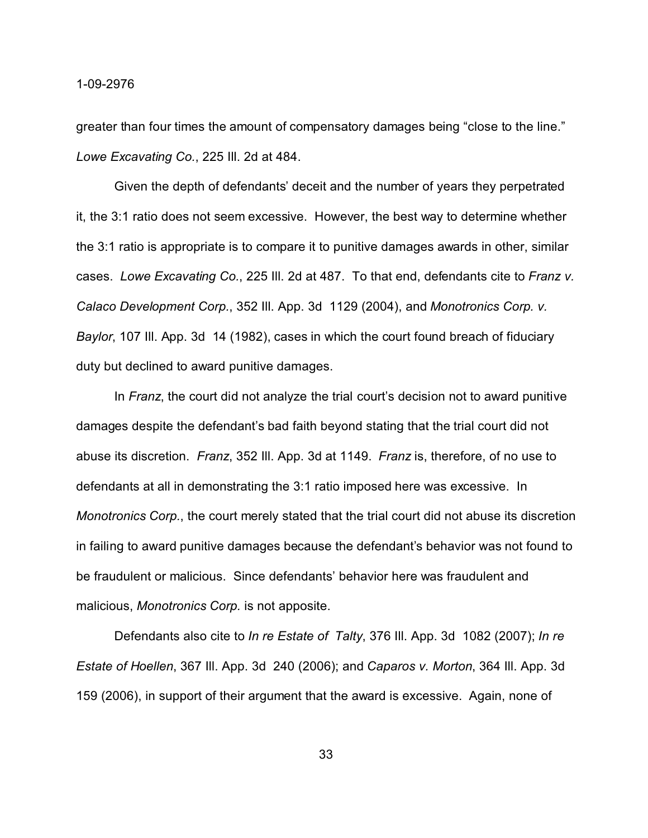greater than four times the amount of compensatory damages being "close to the line." *Lowe Excavating Co.*, 225 Ill. 2d at 484.

Given the depth of defendants' deceit and the number of years they perpetrated it, the 3:1 ratio does not seem excessive. However, the best way to determine whether the 3:1 ratio is appropriate is to compare it to punitive damages awards in other, similar cases. *Lowe Excavating Co.*, 225 Ill. 2d at 487. To that end, defendants cite to *Franz v. Calaco Development Corp.*, 352 Ill. App. 3d 1129 (2004), and *Monotronics Corp. v. Baylor*, 107 Ill. App. 3d 14 (1982), cases in which the court found breach of fiduciary duty but declined to award punitive damages.

In *Franz*, the court did not analyze the trial court's decision not to award punitive damages despite the defendant's bad faith beyond stating that the trial court did not abuse its discretion. *Franz*, 352 Ill. App. 3d at 1149. *Franz* is, therefore, of no use to defendants at all in demonstrating the 3:1 ratio imposed here was excessive. In *Monotronics Corp.*, the court merely stated that the trial court did not abuse its discretion in failing to award punitive damages because the defendant's behavior was not found to be fraudulent or malicious. Since defendants' behavior here was fraudulent and malicious, *Monotronics Corp.* is not apposite.

Defendants also cite to *In re Estate of Talty*, 376 Ill. App. 3d 1082 (2007); *In re Estate of Hoellen*, 367 Ill. App. 3d 240 (2006); and *Caparos v. Morton*, 364 Ill. App. 3d 159 (2006), in support of their argument that the award is excessive. Again, none of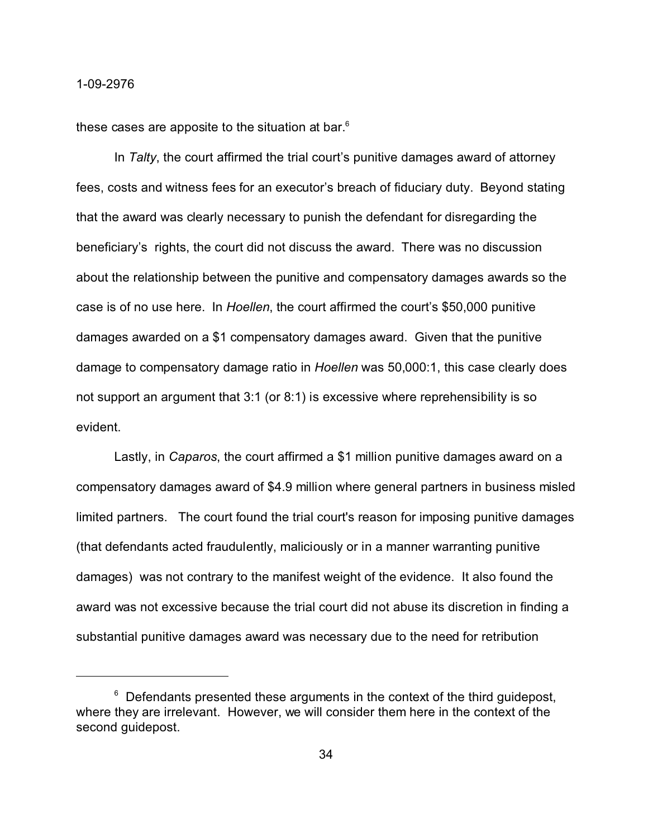these cases are apposite to the situation at bar.<sup>6</sup>

In *Talty*, the court affirmed the trial court's punitive damages award of attorney fees, costs and witness fees for an executor's breach of fiduciary duty. Beyond stating that the award was clearly necessary to punish the defendant for disregarding the beneficiary's rights, the court did not discuss the award. There was no discussion about the relationship between the punitive and compensatory damages awards so the case is of no use here. In *Hoellen*, the court affirmed the court's \$50,000 punitive damages awarded on a \$1 compensatory damages award. Given that the punitive damage to compensatory damage ratio in *Hoellen* was 50,000:1, this case clearly does not support an argument that 3:1 (or 8:1) is excessive where reprehensibility is so evident.

Lastly, in *Caparos*, the court affirmed a \$1 million punitive damages award on a compensatory damages award of \$4.9 million where general partners in business misled limited partners. The court found the trial court's reason for imposing punitive damages (that defendants acted fraudulently, maliciously or in a manner warranting punitive damages) was not contrary to the manifest weight of the evidence. It also found the award was not excessive because the trial court did not abuse its discretion in finding a substantial punitive damages award was necessary due to the need for retribution

 $6$  Defendants presented these arguments in the context of the third guidepost, where they are irrelevant. However, we will consider them here in the context of the second guidepost.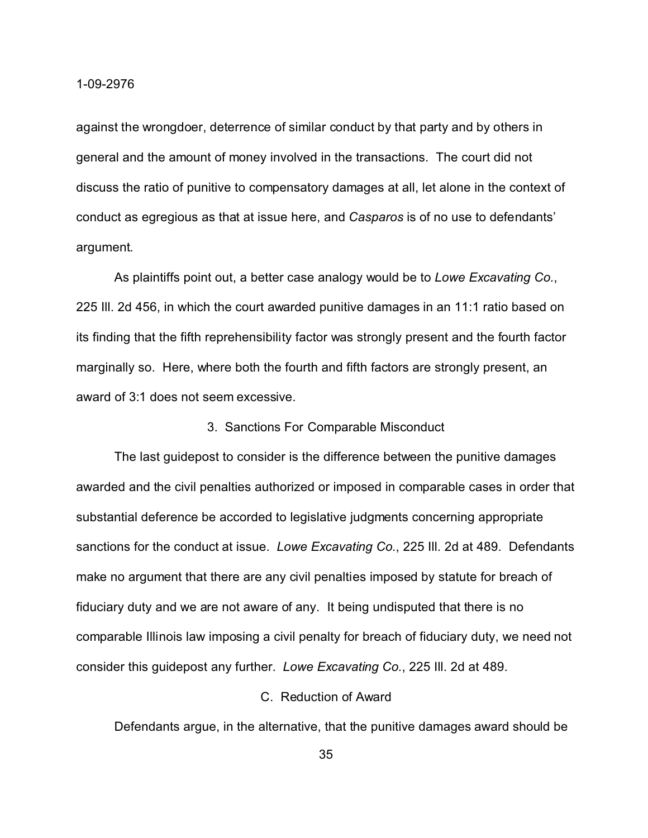against the wrongdoer, deterrence of similar conduct by that party and by others in general and the amount of money involved in the transactions. The court did not discuss the ratio of punitive to compensatory damages at all, let alone in the context of conduct as egregious as that at issue here, and *Casparos* is of no use to defendants' argument.

As plaintiffs point out, a better case analogy would be to *Lowe Excavating Co.*, 225 Ill. 2d 456, in which the court awarded punitive damages in an 11:1 ratio based on its finding that the fifth reprehensibility factor was strongly present and the fourth factor marginally so. Here, where both the fourth and fifth factors are strongly present, an award of 3:1 does not seem excessive.

### 3. Sanctions For Comparable Misconduct

The last guidepost to consider is the difference between the punitive damages awarded and the civil penalties authorized or imposed in comparable cases in order that substantial deference be accorded to legislative judgments concerning appropriate sanctions for the conduct at issue. *Lowe Excavating Co.*, 225 Ill. 2d at 489. Defendants make no argument that there are any civil penalties imposed by statute for breach of fiduciary duty and we are not aware of any. It being undisputed that there is no comparable Illinois law imposing a civil penalty for breach of fiduciary duty, we need not consider this guidepost any further. *Lowe Excavating Co.*, 225 Ill. 2d at 489.

# C. Reduction of Award

Defendants argue, in the alternative, that the punitive damages award should be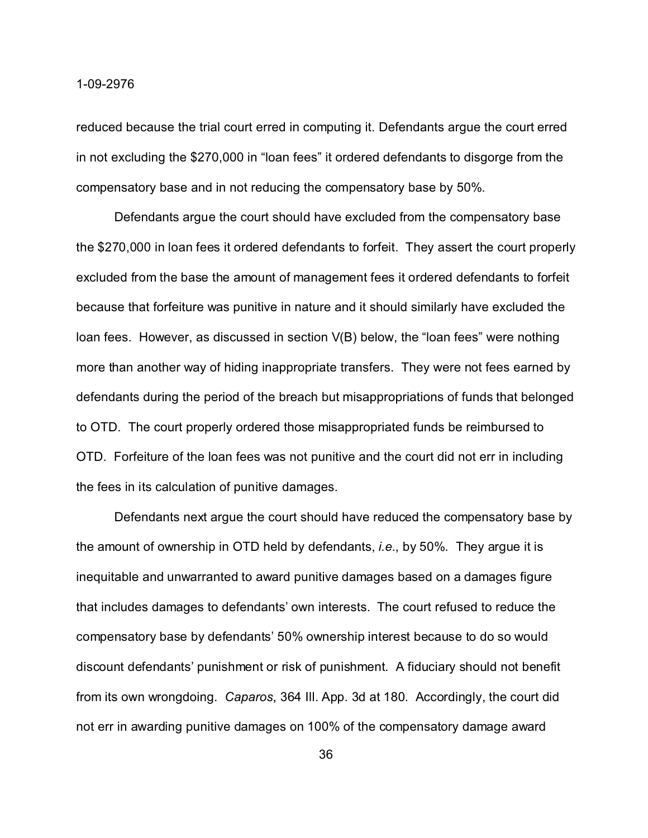reduced because the trial court erred in computing it. Defendants argue the court erred in not excluding the \$270,000 in "loan fees" it ordered defendants to disgorge from the compensatory base and in not reducing the compensatory base by 50%.

 Defendants argue the court should have excluded from the compensatory base the \$270,000 in loan fees it ordered defendants to forfeit. They assert the court properly excluded from the base the amount of management fees it ordered defendants to forfeit because that forfeiture was punitive in nature and it should similarly have excluded the loan fees. However, as discussed in section V(B) below, the "loan fees" were nothing more than another way of hiding inappropriate transfers. They were not fees earned by defendants during the period of the breach but misappropriations of funds that belonged to OTD. The court properly ordered those misappropriated funds be reimbursed to OTD. Forfeiture of the loan fees was not punitive and the court did not err in including the fees in its calculation of punitive damages.

Defendants next argue the court should have reduced the compensatory base by the amount of ownership in OTD held by defendants, *i.e.*, by 50%. They argue it is inequitable and unwarranted to award punitive damages based on a damages figure that includes damages to defendants' own interests. The court refused to reduce the compensatory base by defendants' 50% ownership interest because to do so would discount defendants' punishment or risk of punishment. A fiduciary should not benefit from its own wrongdoing. *Caparos*, 364 Ill. App. 3d at 180. Accordingly, the court did not err in awarding punitive damages on 100% of the compensatory damage award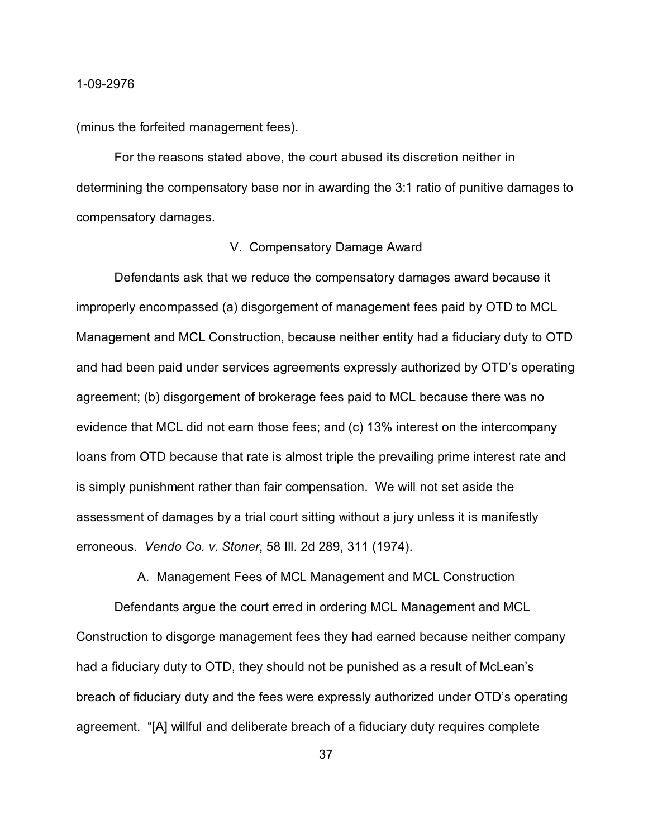(minus the forfeited management fees).

For the reasons stated above, the court abused its discretion neither in determining the compensatory base nor in awarding the 3:1 ratio of punitive damages to compensatory damages.

### V. Compensatory Damage Award

Defendants ask that we reduce the compensatory damages award because it improperly encompassed (a) disgorgement of management fees paid by OTD to MCL Management and MCL Construction, because neither entity had a fiduciary duty to OTD and had been paid under services agreements expressly authorized by OTD's operating agreement; (b) disgorgement of brokerage fees paid to MCL because there was no evidence that MCL did not earn those fees; and (c) 13% interest on the intercompany loans from OTD because that rate is almost triple the prevailing prime interest rate and is simply punishment rather than fair compensation. We will not set aside the assessment of damages by a trial court sitting without a jury unless it is manifestly erroneous. *Vendo Co. v. Stoner*, 58 Ill. 2d 289, 311 (1974).

A. Management Fees of MCL Management and MCL Construction

Defendants argue the court erred in ordering MCL Management and MCL Construction to disgorge management fees they had earned because neither company had a fiduciary duty to OTD, they should not be punished as a result of McLean's breach of fiduciary duty and the fees were expressly authorized under OTD's operating agreement. "[A] willful and deliberate breach of a fiduciary duty requires complete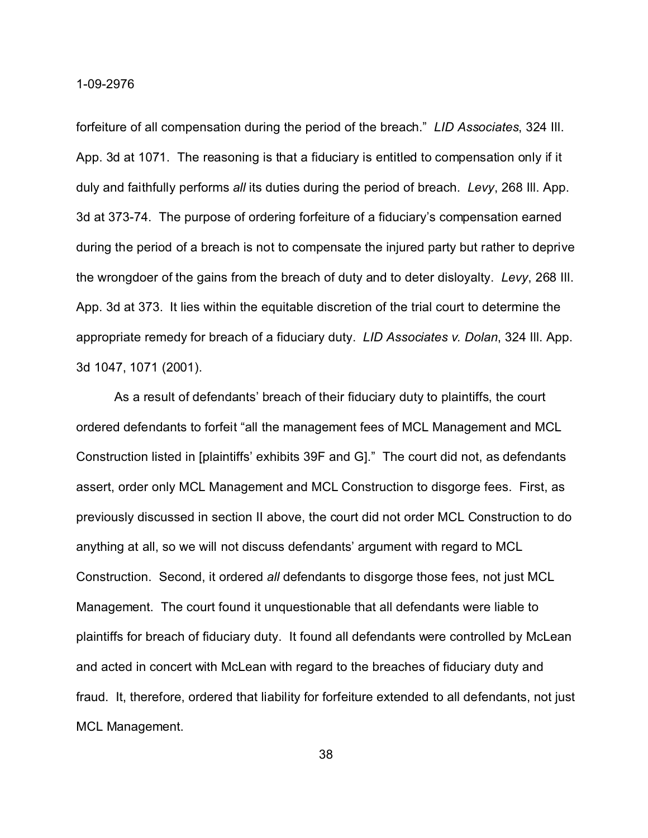forfeiture of all compensation during the period of the breach." *LID Associates*, 324 Ill. App. 3d at 1071. The reasoning is that a fiduciary is entitled to compensation only if it duly and faithfully performs *all* its duties during the period of breach. *Levy*, 268 Ill. App. 3d at 373-74. The purpose of ordering forfeiture of a fiduciary's compensation earned during the period of a breach is not to compensate the injured party but rather to deprive the wrongdoer of the gains from the breach of duty and to deter disloyalty. *Levy*, 268 Ill. App. 3d at 373. It lies within the equitable discretion of the trial court to determine the appropriate remedy for breach of a fiduciary duty. *LID Associates v. Dolan*, 324 Ill. App. 3d 1047, 1071 (2001).

As a result of defendants' breach of their fiduciary duty to plaintiffs, the court ordered defendants to forfeit "all the management fees of MCL Management and MCL Construction listed in [plaintiffs' exhibits 39F and G]." The court did not, as defendants assert, order only MCL Management and MCL Construction to disgorge fees. First, as previously discussed in section II above, the court did not order MCL Construction to do anything at all, so we will not discuss defendants' argument with regard to MCL Construction. Second, it ordered *all* defendants to disgorge those fees, not just MCL Management. The court found it unquestionable that all defendants were liable to plaintiffs for breach of fiduciary duty. It found all defendants were controlled by McLean and acted in concert with McLean with regard to the breaches of fiduciary duty and fraud. It, therefore, ordered that liability for forfeiture extended to all defendants, not just MCL Management.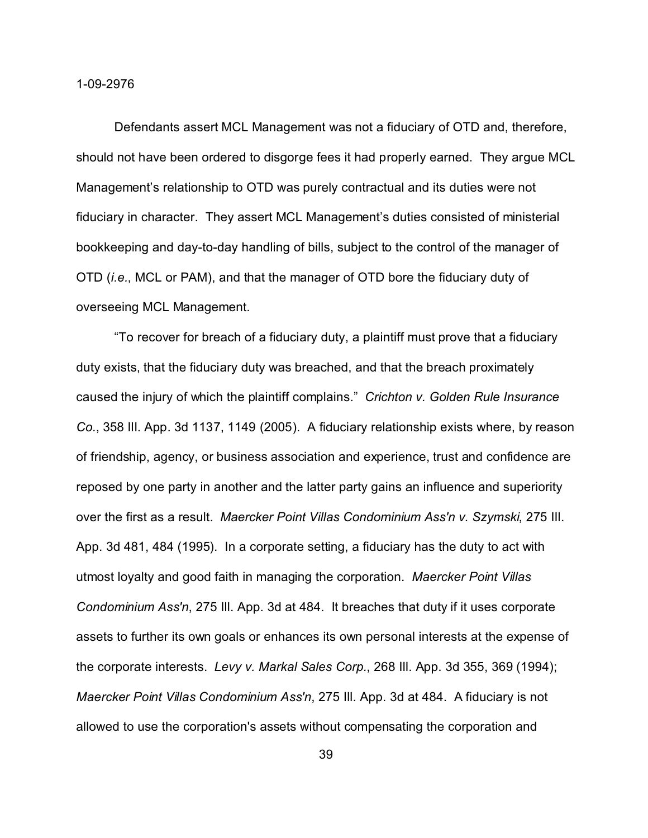Defendants assert MCL Management was not a fiduciary of OTD and, therefore, should not have been ordered to disgorge fees it had properly earned. They argue MCL Management's relationship to OTD was purely contractual and its duties were not fiduciary in character. They assert MCL Management's duties consisted of ministerial bookkeeping and day-to-day handling of bills, subject to the control of the manager of OTD (*i.e.*, MCL or PAM), and that the manager of OTD bore the fiduciary duty of overseeing MCL Management.

"To recover for breach of a fiduciary duty, a plaintiff must prove that a fiduciary duty exists, that the fiduciary duty was breached, and that the breach proximately caused the injury of which the plaintiff complains." *Crichton v. Golden Rule Insurance Co.*, 358 Ill. App. 3d 1137, 1149 (2005). A fiduciary relationship exists where, by reason of friendship, agency, or business association and experience, trust and confidence are reposed by one party in another and the latter party gains an influence and superiority over the first as a result. *Maercker Point Villas Condominium Ass'n v. Szymski*, 275 Ill. App. 3d 481, 484 (1995). In a corporate setting, a fiduciary has the duty to act with utmost loyalty and good faith in managing the corporation. *Maercker Point Villas Condominium Ass'n*, 275 Ill. App. 3d at 484. It breaches that duty if it uses corporate assets to further its own goals or enhances its own personal interests at the expense of the corporate interests. *Levy v. Markal Sales Corp.*, 268 Ill. App. 3d 355, 369 (1994); *Maercker Point Villas Condominium Ass'n*, 275 Ill. App. 3d at 484. A fiduciary is not allowed to use the corporation's assets without compensating the corporation and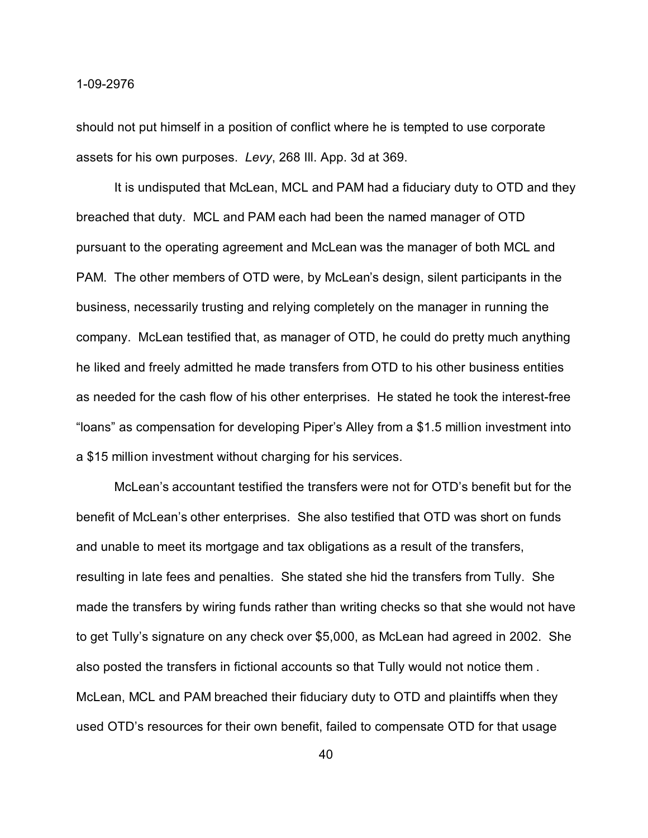should not put himself in a position of conflict where he is tempted to use corporate assets for his own purposes. *Levy*, 268 Ill. App. 3d at 369.

It is undisputed that McLean, MCL and PAM had a fiduciary duty to OTD and they breached that duty. MCL and PAM each had been the named manager of OTD pursuant to the operating agreement and McLean was the manager of both MCL and PAM. The other members of OTD were, by McLean's design, silent participants in the business, necessarily trusting and relying completely on the manager in running the company. McLean testified that, as manager of OTD, he could do pretty much anything he liked and freely admitted he made transfers from OTD to his other business entities as needed for the cash flow of his other enterprises. He stated he took the interest-free "loans" as compensation for developing Piper's Alley from a \$1.5 million investment into a \$15 million investment without charging for his services.

McLean's accountant testified the transfers were not for OTD's benefit but for the benefit of McLean's other enterprises. She also testified that OTD was short on funds and unable to meet its mortgage and tax obligations as a result of the transfers, resulting in late fees and penalties. She stated she hid the transfers from Tully. She made the transfers by wiring funds rather than writing checks so that she would not have to get Tully's signature on any check over \$5,000, as McLean had agreed in 2002. She also posted the transfers in fictional accounts so that Tully would not notice them . McLean, MCL and PAM breached their fiduciary duty to OTD and plaintiffs when they used OTD's resources for their own benefit, failed to compensate OTD for that usage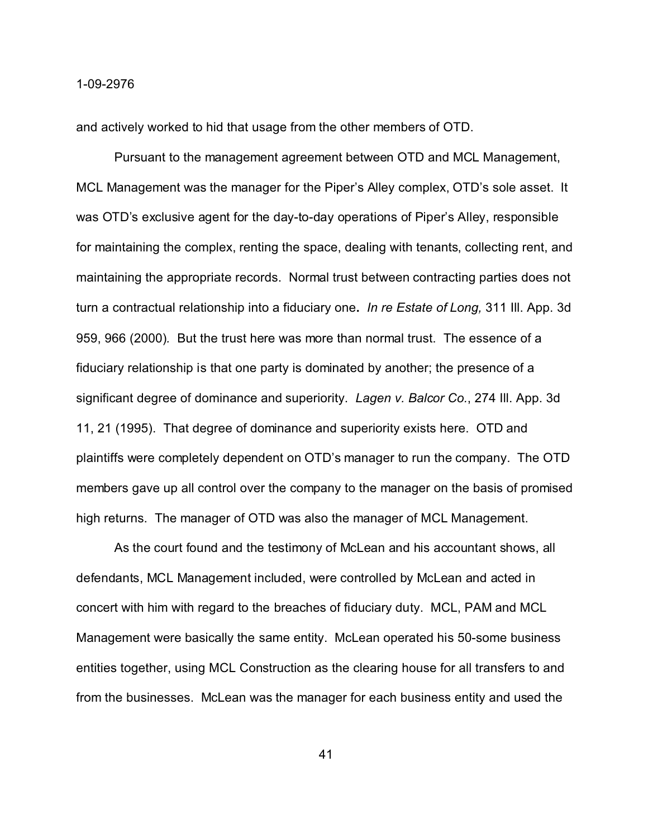and actively worked to hid that usage from the other members of OTD.

Pursuant to the management agreement between OTD and MCL Management, MCL Management was the manager for the Piper's Alley complex, OTD's sole asset. It was OTD's exclusive agent for the day-to-day operations of Piper's Alley, responsible for maintaining the complex, renting the space, dealing with tenants, collecting rent, and maintaining the appropriate records. Normal trust between contracting parties does not turn a contractual relationship into a fiduciary one**.** *In re Estate of Long,* 311 Ill. App. 3d 959, 966 (2000)*.* But the trust here was more than normal trust. The essence of a fiduciary relationship is that one party is dominated by another; the presence of a significant degree of dominance and superiority. *Lagen v. Balcor Co.*, 274 Ill. App. 3d 11, 21 (1995). That degree of dominance and superiority exists here. OTD and plaintiffs were completely dependent on OTD's manager to run the company. The OTD members gave up all control over the company to the manager on the basis of promised high returns. The manager of OTD was also the manager of MCL Management.

As the court found and the testimony of McLean and his accountant shows, all defendants, MCL Management included, were controlled by McLean and acted in concert with him with regard to the breaches of fiduciary duty. MCL, PAM and MCL Management were basically the same entity. McLean operated his 50-some business entities together, using MCL Construction as the clearing house for all transfers to and from the businesses. McLean was the manager for each business entity and used the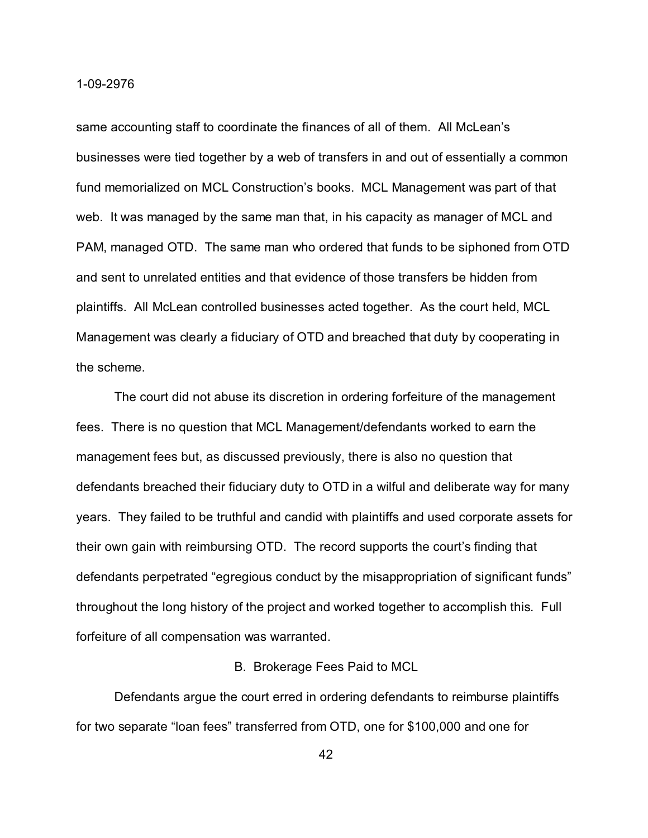same accounting staff to coordinate the finances of all of them. All McLean's businesses were tied together by a web of transfers in and out of essentially a common fund memorialized on MCL Construction's books. MCL Management was part of that web. It was managed by the same man that, in his capacity as manager of MCL and PAM, managed OTD. The same man who ordered that funds to be siphoned from OTD and sent to unrelated entities and that evidence of those transfers be hidden from plaintiffs. All McLean controlled businesses acted together. As the court held, MCL Management was clearly a fiduciary of OTD and breached that duty by cooperating in the scheme.

The court did not abuse its discretion in ordering forfeiture of the management fees. There is no question that MCL Management/defendants worked to earn the management fees but, as discussed previously, there is also no question that defendants breached their fiduciary duty to OTD in a wilful and deliberate way for many years. They failed to be truthful and candid with plaintiffs and used corporate assets for their own gain with reimbursing OTD. The record supports the court's finding that defendants perpetrated "egregious conduct by the misappropriation of significant funds" throughout the long history of the project and worked together to accomplish this. Full forfeiture of all compensation was warranted.

#### B. Brokerage Fees Paid to MCL

Defendants argue the court erred in ordering defendants to reimburse plaintiffs for two separate "loan fees" transferred from OTD, one for \$100,000 and one for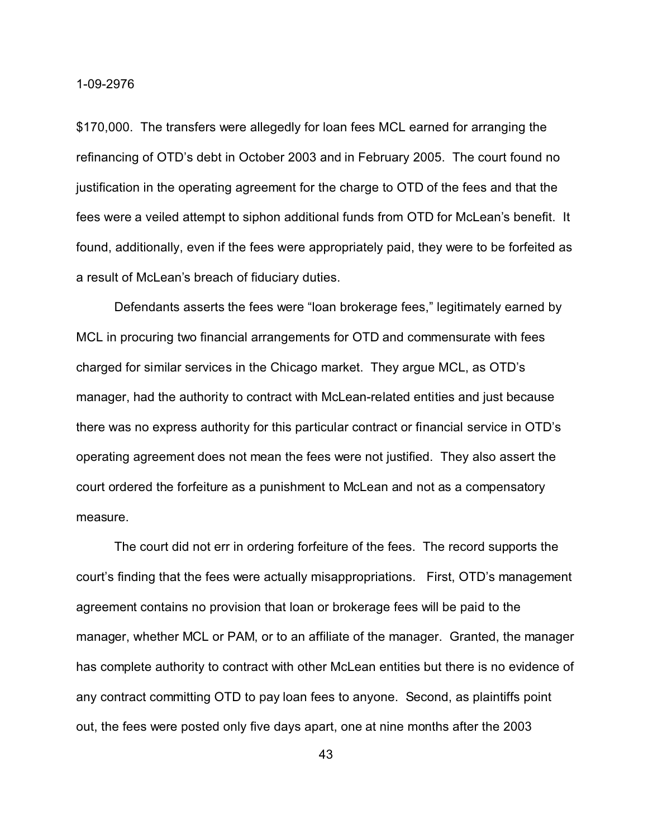\$170,000. The transfers were allegedly for loan fees MCL earned for arranging the refinancing of OTD's debt in October 2003 and in February 2005. The court found no justification in the operating agreement for the charge to OTD of the fees and that the fees were a veiled attempt to siphon additional funds from OTD for McLean's benefit. It found, additionally, even if the fees were appropriately paid, they were to be forfeited as a result of McLean's breach of fiduciary duties.

Defendants asserts the fees were "loan brokerage fees," legitimately earned by MCL in procuring two financial arrangements for OTD and commensurate with fees charged for similar services in the Chicago market. They argue MCL, as OTD's manager, had the authority to contract with McLean-related entities and just because there was no express authority for this particular contract or financial service in OTD's operating agreement does not mean the fees were not justified. They also assert the court ordered the forfeiture as a punishment to McLean and not as a compensatory measure.

The court did not err in ordering forfeiture of the fees. The record supports the court's finding that the fees were actually misappropriations. First, OTD's management agreement contains no provision that loan or brokerage fees will be paid to the manager, whether MCL or PAM, or to an affiliate of the manager. Granted, the manager has complete authority to contract with other McLean entities but there is no evidence of any contract committing OTD to pay loan fees to anyone. Second, as plaintiffs point out, the fees were posted only five days apart, one at nine months after the 2003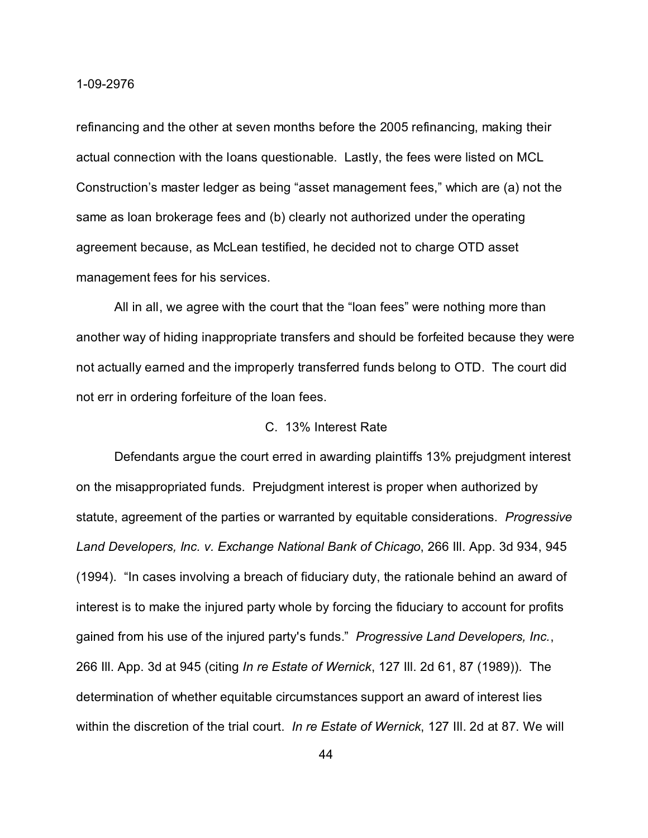refinancing and the other at seven months before the 2005 refinancing, making their actual connection with the loans questionable. Lastly, the fees were listed on MCL Construction's master ledger as being "asset management fees," which are (a) not the same as loan brokerage fees and (b) clearly not authorized under the operating agreement because, as McLean testified, he decided not to charge OTD asset management fees for his services.

All in all, we agree with the court that the "loan fees" were nothing more than another way of hiding inappropriate transfers and should be forfeited because they were not actually earned and the improperly transferred funds belong to OTD. The court did not err in ordering forfeiture of the loan fees.

## C. 13% Interest Rate

Defendants argue the court erred in awarding plaintiffs 13% prejudgment interest on the misappropriated funds. Prejudgment interest is proper when authorized by statute, agreement of the parties or warranted by equitable considerations. *Progressive Land Developers, Inc. v. Exchange National Bank of Chicago*, 266 Ill. App. 3d 934, 945 (1994). "In cases involving a breach of fiduciary duty, the rationale behind an award of interest is to make the injured party whole by forcing the fiduciary to account for profits gained from his use of the injured party's funds." *Progressive Land Developers, Inc.*, 266 Ill. App. 3d at 945 (citing *In re Estate of Wernick*, 127 Ill. 2d 61, 87 (1989)). The determination of whether equitable circumstances support an award of interest lies within the discretion of the trial court. *In re Estate of Wernick*, 127 Ill. 2d at 87. We will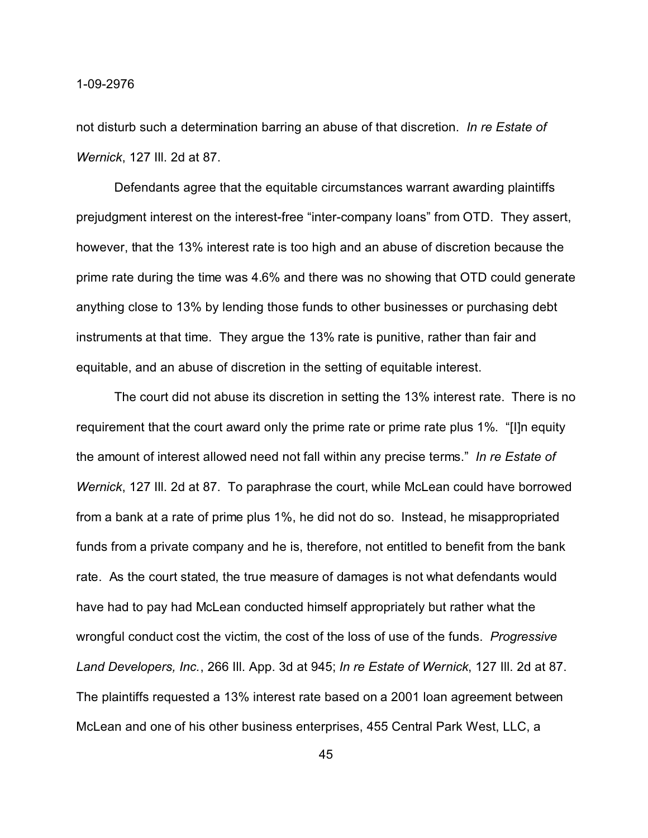not disturb such a determination barring an abuse of that discretion. *In re Estate of Wernick*, 127 Ill. 2d at 87.

Defendants agree that the equitable circumstances warrant awarding plaintiffs prejudgment interest on the interest-free "inter-company loans" from OTD. They assert, however, that the 13% interest rate is too high and an abuse of discretion because the prime rate during the time was 4.6% and there was no showing that OTD could generate anything close to 13% by lending those funds to other businesses or purchasing debt instruments at that time. They argue the 13% rate is punitive, rather than fair and equitable, and an abuse of discretion in the setting of equitable interest.

The court did not abuse its discretion in setting the 13% interest rate. There is no requirement that the court award only the prime rate or prime rate plus 1%. "[I]n equity the amount of interest allowed need not fall within any precise terms." *In re Estate of Wernick*, 127 Ill. 2d at 87. To paraphrase the court, while McLean could have borrowed from a bank at a rate of prime plus 1%, he did not do so. Instead, he misappropriated funds from a private company and he is, therefore, not entitled to benefit from the bank rate. As the court stated, the true measure of damages is not what defendants would have had to pay had McLean conducted himself appropriately but rather what the wrongful conduct cost the victim, the cost of the loss of use of the funds. *Progressive Land Developers, Inc.*, 266 Ill. App. 3d at 945; *In re Estate of Wernick*, 127 Ill. 2d at 87. The plaintiffs requested a 13% interest rate based on a 2001 loan agreement between McLean and one of his other business enterprises, 455 Central Park West, LLC, a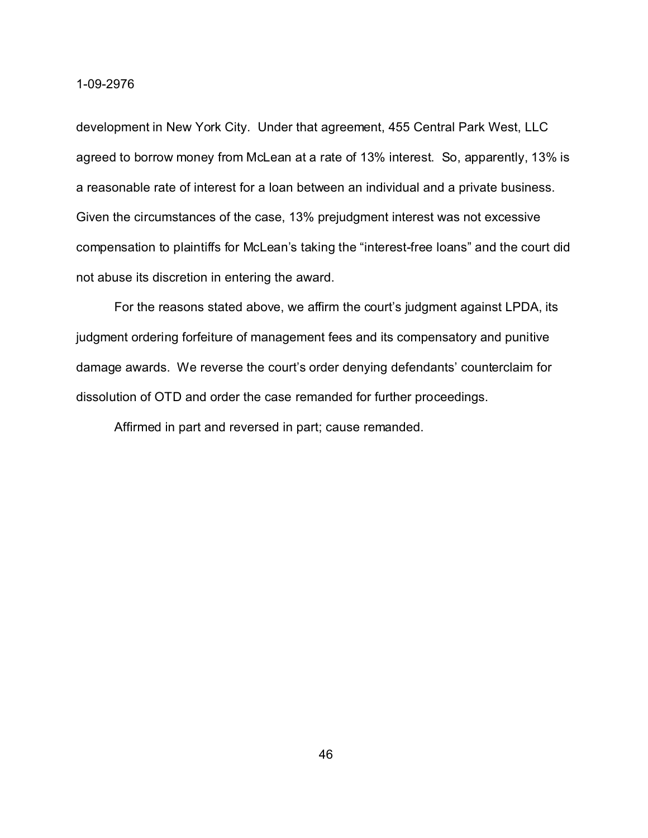development in New York City. Under that agreement, 455 Central Park West, LLC agreed to borrow money from McLean at a rate of 13% interest. So, apparently, 13% is a reasonable rate of interest for a loan between an individual and a private business. Given the circumstances of the case, 13% prejudgment interest was not excessive compensation to plaintiffs for McLean's taking the "interest-free loans" and the court did not abuse its discretion in entering the award.

For the reasons stated above, we affirm the court's judgment against LPDA, its judgment ordering forfeiture of management fees and its compensatory and punitive damage awards. We reverse the court's order denying defendants' counterclaim for dissolution of OTD and order the case remanded for further proceedings.

Affirmed in part and reversed in part; cause remanded.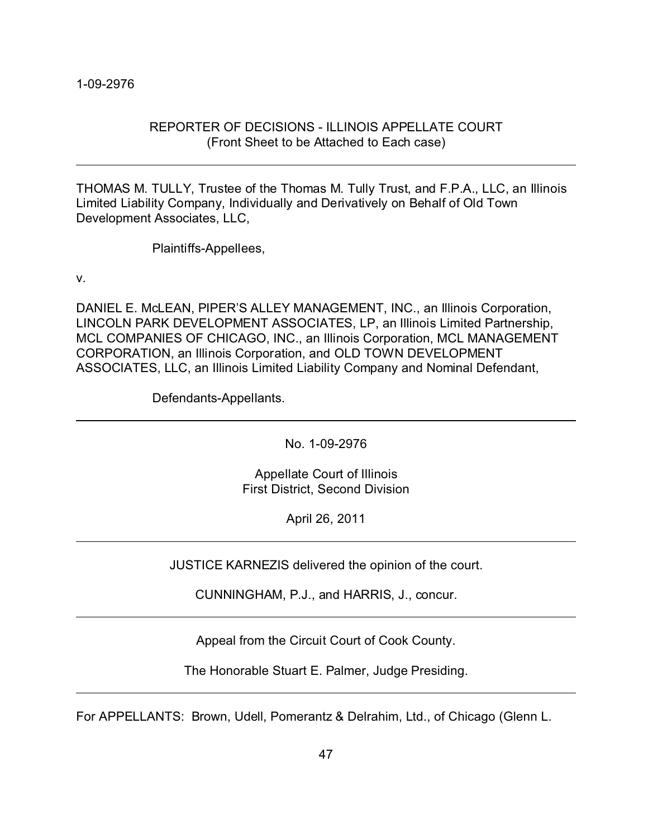# REPORTER OF DECISIONS - ILLINOIS APPELLATE COURT (Front Sheet to be Attached to Each case)

THOMAS M. TULLY, Trustee of the Thomas M. Tully Trust, and F.P.A., LLC, an Illinois Limited Liability Company, Individually and Derivatively on Behalf of Old Town Development Associates, LLC,

Plaintiffs-Appellees,

v.

DANIEL E. McLEAN, PIPER'S ALLEY MANAGEMENT, INC., an Illinois Corporation, LINCOLN PARK DEVELOPMENT ASSOCIATES, LP, an Illinois Limited Partnership, MCL COMPANIES OF CHICAGO, INC., an Illinois Corporation, MCL MANAGEMENT CORPORATION, an Illinois Corporation, and OLD TOWN DEVELOPMENT ASSOCIATES, LLC, an Illinois Limited Liability Company and Nominal Defendant,

Defendants-Appellants.

No. 1-09-2976

Appellate Court of Illinois First District, Second Division

April 26, 2011

JUSTICE KARNEZIS delivered the opinion of the court.

CUNNINGHAM, P.J., and HARRIS, J., concur.

Appeal from the Circuit Court of Cook County.

The Honorable Stuart E. Palmer, Judge Presiding.

For APPELLANTS: Brown, Udell, Pomerantz & Delrahim, Ltd., of Chicago (Glenn L.